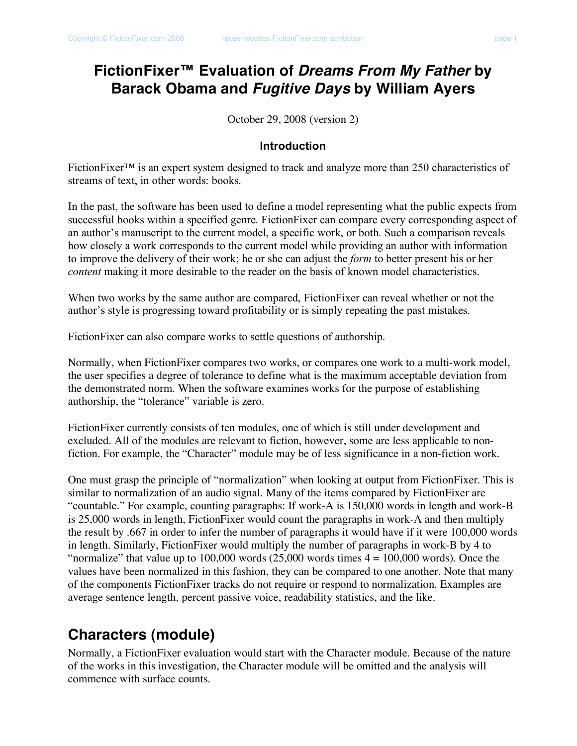### **FictionFixer™ Evaluation of** *Dreams From My Father* **by Barack Obama and** *Fugitive Days* **by William Ayers**

October 29, 2008 (version 2)

#### **Introduction**

FictionFixer™ is an expert system designed to track and analyze more than 250 characteristics of streams of text, in other words: books.

In the past, the software has been used to define a model representing what the public expects from successful books within a specified genre. FictionFixer can compare every corresponding aspect of an author's manuscript to the current model, a specific work, or both. Such a comparison reveals how closely a work corresponds to the current model while providing an author with information to improve the delivery of their work; he or she can adjust the *form* to better present his or her *content* making it more desirable to the reader on the basis of known model characteristics.

When two works by the same author are compared, FictionFixer can reveal whether or not the author's style is progressing toward profitability or is simply repeating the past mistakes.

FictionFixer can also compare works to settle questions of authorship.

Normally, when FictionFixer compares two works, or compares one work to a multi-work model, the user specifies a degree of tolerance to define what is the maximum acceptable deviation from the demonstrated norm. When the software examines works for the purpose of establishing authorship, the "tolerance" variable is zero.

FictionFixer currently consists of ten modules, one of which is still under development and excluded. All of the modules are relevant to fiction, however, some are less applicable to nonfiction. For example, the "Character" module may be of less significance in a non-fiction work.

One must grasp the principle of "normalization" when looking at output from FictionFixer. This is similar to normalization of an audio signal. Many of the items compared by FictionFixer are "countable." For example, counting paragraphs: If work-A is 150,000 words in length and work-B is 25,000 words in length, FictionFixer would count the paragraphs in work-A and then multiply the result by .667 in order to infer the number of paragraphs it would have if it were 100,000 words in length. Similarly, FictionFixer would multiply the number of paragraphs in work-B by 4 to "normalize" that value up to 100,000 words  $(25,000$  words times  $4 = 100,000$  words). Once the values have been normalized in this fashion, they can be compared to one another. Note that many of the components FictionFixer tracks do not require or respond to normalization. Examples are average sentence length, percent passive voice, readability statistics, and the like.

### **Characters (module)**

Normally, a FictionFixer evaluation would start with the Character module. Because of the nature of the works in this investigation, the Character module will be omitted and the analysis will commence with surface counts.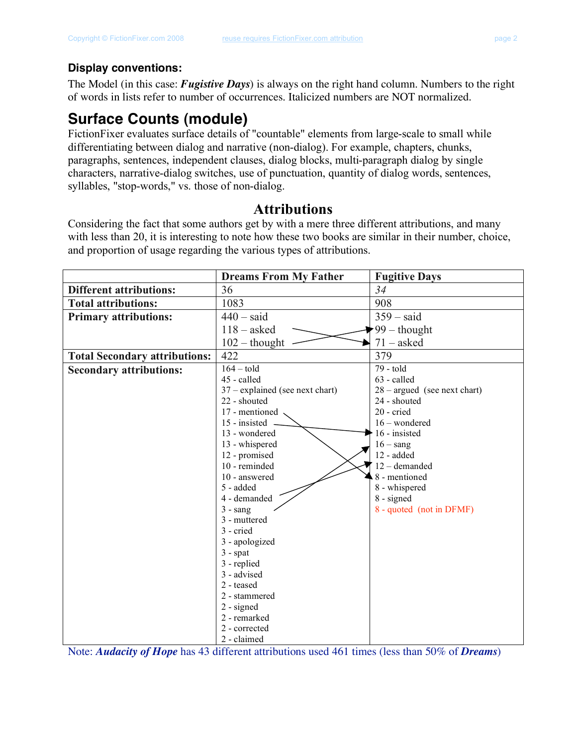#### **Display conventions:**

The Model (in this case: *Fugistive Days*) is always on the right hand column. Numbers to the right of words in lists refer to number of occurrences. Italicized numbers are NOT normalized.

## **Surface Counts (module)**

FictionFixer evaluates surface details of "countable" elements from large-scale to small while differentiating between dialog and narrative (non-dialog). For example, chapters, chunks, paragraphs, sentences, independent clauses, dialog blocks, multi-paragraph dialog by single characters, narrative-dialog switches, use of punctuation, quantity of dialog words, sentences, syllables, "stop-words," vs. those of non-dialog.

### **Attributions**

Considering the fact that some authors get by with a mere three different attributions, and many with less than 20, it is interesting to note how these two books are similar in their number, choice, and proportion of usage regarding the various types of attributions.

| <b>Dreams From My Father</b>      | <b>Fugitive Days</b>                                                                                                                                                                                                                                                                                                                              |
|-----------------------------------|---------------------------------------------------------------------------------------------------------------------------------------------------------------------------------------------------------------------------------------------------------------------------------------------------------------------------------------------------|
| 36                                | 34                                                                                                                                                                                                                                                                                                                                                |
| 1083                              | 908                                                                                                                                                                                                                                                                                                                                               |
| $440 - said$                      | $359 - said$                                                                                                                                                                                                                                                                                                                                      |
|                                   | 99 - thought                                                                                                                                                                                                                                                                                                                                      |
|                                   | $71 - asked$                                                                                                                                                                                                                                                                                                                                      |
| 422                               | 379                                                                                                                                                                                                                                                                                                                                               |
| $164 -$ told                      | 79 - told                                                                                                                                                                                                                                                                                                                                         |
| 45 - called                       | 63 - called                                                                                                                                                                                                                                                                                                                                       |
| $37$ – explained (see next chart) | $28 - argued$ (see next chart)                                                                                                                                                                                                                                                                                                                    |
| 22 - shouted                      | 24 - shouted                                                                                                                                                                                                                                                                                                                                      |
| 17 - mentioned                    | 20 - cried                                                                                                                                                                                                                                                                                                                                        |
| 15 - insisted                     | $16$ – wondered                                                                                                                                                                                                                                                                                                                                   |
| 13 - wondered                     | 16 - insisted                                                                                                                                                                                                                                                                                                                                     |
|                                   | $16 -$ sang                                                                                                                                                                                                                                                                                                                                       |
|                                   | 12 - added                                                                                                                                                                                                                                                                                                                                        |
|                                   | 12 - demanded                                                                                                                                                                                                                                                                                                                                     |
|                                   | 8 - mentioned                                                                                                                                                                                                                                                                                                                                     |
|                                   | 8 - whispered                                                                                                                                                                                                                                                                                                                                     |
|                                   | 8 - signed                                                                                                                                                                                                                                                                                                                                        |
|                                   | 8 - quoted (not in DFMF)                                                                                                                                                                                                                                                                                                                          |
|                                   |                                                                                                                                                                                                                                                                                                                                                   |
|                                   |                                                                                                                                                                                                                                                                                                                                                   |
|                                   |                                                                                                                                                                                                                                                                                                                                                   |
|                                   |                                                                                                                                                                                                                                                                                                                                                   |
|                                   |                                                                                                                                                                                                                                                                                                                                                   |
|                                   |                                                                                                                                                                                                                                                                                                                                                   |
|                                   |                                                                                                                                                                                                                                                                                                                                                   |
|                                   |                                                                                                                                                                                                                                                                                                                                                   |
|                                   |                                                                                                                                                                                                                                                                                                                                                   |
|                                   |                                                                                                                                                                                                                                                                                                                                                   |
|                                   |                                                                                                                                                                                                                                                                                                                                                   |
|                                   | $118 - asked$<br>$102 -$ thought<br>13 - whispered<br>12 - promised<br>10 - reminded<br>10 - answered<br>5 - added<br>4 - demanded<br>$3 - \text{sang}$<br>3 - muttered<br>3 - cried<br>3 - apologized<br>$3 -$ spat<br>3 - replied<br>3 - advised<br>2 - teased<br>2 - stammered<br>$2 - signed$<br>2 - remarked<br>2 - corrected<br>2 - claimed |

Note: *Audacity of Hope* has 43 different attributions used 461 times (less than 50% of *Dreams*)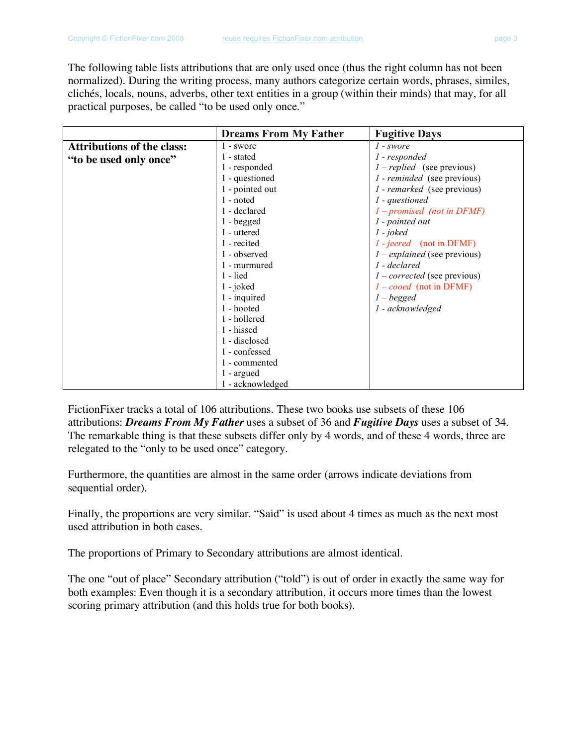The following table lists attributions that are only used once (thus the right column has not been normalized). During the writing process, many authors categorize certain words, phrases, similes, clichés, locals, nouns, adverbs, other text entities in a group (within their minds) that may, for all practical purposes, be called "to be used only once."

|                                   | <b>Dreams From My Father</b> | <b>Fugitive Days</b>                      |
|-----------------------------------|------------------------------|-------------------------------------------|
| <b>Attributions of the class:</b> | 1 - swore                    | 1 - swore                                 |
| "to be used only once"            | 1 - stated                   | 1 - responded                             |
|                                   | 1 - responded                | $1 - replied$ (see previous)              |
|                                   | 1 - questioned               | <i>l</i> - <i>reminded</i> (see previous) |
|                                   | 1 - pointed out              | <i>l</i> - <i>remarked</i> (see previous) |
|                                   | 1 - noted                    | 1 - questioned                            |
|                                   | 1 - declared                 | $1$ – promised (not in DFMF)              |
|                                   | $1 -$ begged                 | 1 - pointed out                           |
|                                   | 1 - uttered                  | $1 - joked$                               |
|                                   | 1 - recited                  | $1 - jeered$ (not in DFMF)                |
|                                   | 1 - observed                 | $1$ – explained (see previous)            |
|                                   | 1 - murmured                 | 1 - declared                              |
|                                   | $1 -$ lied                   | $1-corrected$ (see previous)              |
|                                   | $1 - j$ oked                 | $1 - cooed$ (not in DFMF)                 |
|                                   | 1 - inquired                 | $1 - begged$                              |
|                                   | 1 - hooted                   | 1 - acknowledged                          |
|                                   | 1 - hollered                 |                                           |
|                                   | 1 - hissed                   |                                           |
|                                   | 1 - disclosed                |                                           |
|                                   | 1 - confessed                |                                           |
|                                   | 1 - commented                |                                           |
|                                   | 1 - argued                   |                                           |
|                                   | 1 - acknowledged             |                                           |

FictionFixer tracks a total of 106 attributions. These two books use subsets of these 106 attributions: *Dreams From My Father* uses a subset of 36 and *Fugitive Days* uses a subset of 34. The remarkable thing is that these subsets differ only by 4 words, and of these 4 words, three are relegated to the "only to be used once" category.

Furthermore, the quantities are almost in the same order (arrows indicate deviations from sequential order).

Finally, the proportions are very similar. "Said" is used about 4 times as much as the next most used attribution in both cases.

The proportions of Primary to Secondary attributions are almost identical.

The one "out of place" Secondary attribution ("told") is out of order in exactly the same way for both examples: Even though it is a secondary attribution, it occurs more times than the lowest scoring primary attribution (and this holds true for both books).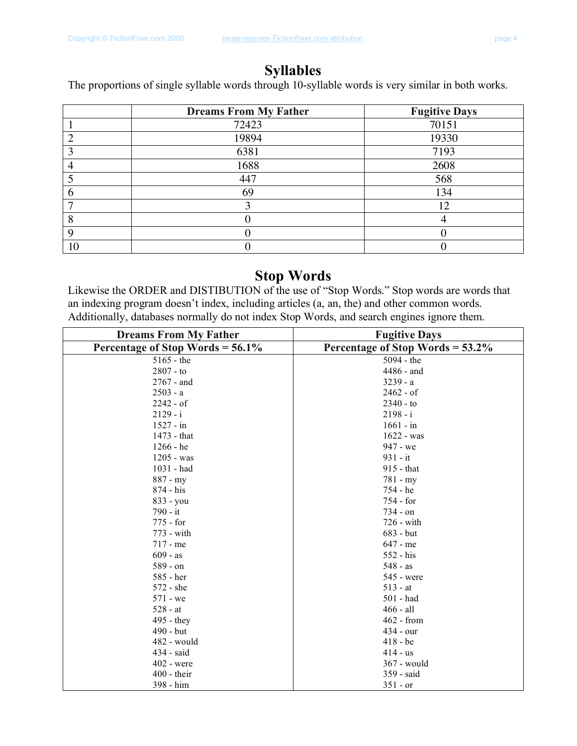### **Syllables**

The proportions of single syllable words through 10-syllable words is very similar in both works.

|    | <b>Dreams From My Father</b> | <b>Fugitive Days</b> |
|----|------------------------------|----------------------|
|    | 72423                        | 70151                |
|    | 19894                        | 19330                |
|    | 6381                         | 7193                 |
|    | 1688                         | 2608                 |
|    | 447                          | 568                  |
|    | 69                           | 134                  |
|    |                              | 12                   |
| Ω  |                              |                      |
|    |                              |                      |
| 10 |                              |                      |

### **Stop Words**

Likewise the ORDER and DISTIBUTION of the use of "Stop Words." Stop words are words that an indexing program doesn't index, including articles (a, an, the) and other common words. Additionally, databases normally do not index Stop Words, and search engines ignore them.

| <b>Dreams From My Father</b>        | <b>Fugitive Days</b>             |
|-------------------------------------|----------------------------------|
| Percentage of Stop Words = $56.1\%$ | Percentage of Stop Words = 53.2% |
| $5165 - the$                        | 5094 - the                       |
| $2807 - to$                         | 4486 - and                       |
| $2767 - and$                        | $3239 - a$                       |
| $2503 - a$                          | $2462 - of$                      |
| $2242 - of$                         | $2340 - to$                      |
| $2129 - i$                          | $2198 - i$                       |
| $1527 - in$                         | $1661 - in$                      |
| 1473 - that                         | $1622 - was$                     |
| 1266 - he                           | 947 - we                         |
| 1205 - was                          | $931 - it$                       |
| 1031 - had                          | 915 - that                       |
| $887 - my$                          | $781 - my$                       |
| 874 - his                           | 754 - he                         |
| 833 - you                           | 754 - for                        |
| 790 - it                            | 734 - on                         |
| 775 - for                           | 726 - with                       |
| 773 - with                          | 683 - but                        |
| $717 - me$                          | $647 - me$                       |
| $609 - as$                          | 552 - his                        |
| 589 - on                            | $548 - as$                       |
| 585 - her                           | 545 - were                       |
| 572 - she                           | $513 - at$                       |
| 571 - we                            | 501 - had                        |
| $528 - at$                          | 466 - all                        |
| 495 - they                          | 462 - from                       |
| 490 - but                           | $434 - our$                      |
| $482$ - would                       | $418 - be$                       |
| 434 - said                          | $414 - us$                       |
| 402 - were                          | 367 - would                      |
| $400 -$ their                       | 359 - said                       |
| 398 - him                           | $351 - or$                       |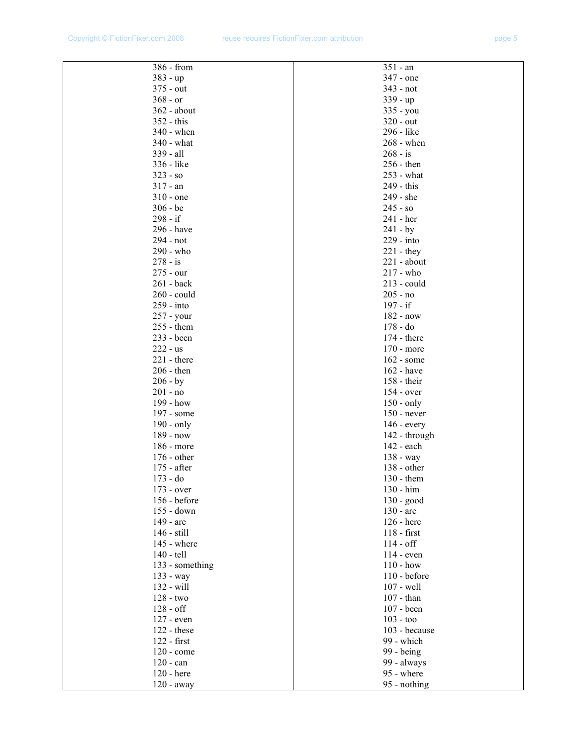| 386 - from      | $351 - an$                  |
|-----------------|-----------------------------|
| 383 - up        | 347 - one                   |
| 375 - out       | 343 - not                   |
| $368 - or$      | $339 - up$                  |
| 362 - about     | 335 - you                   |
| 352 - this      | 320 - out                   |
| $340$ - when    | 296 - like                  |
| $340$ - what    | $268$ - when                |
| 339 - all       | $268 - is$                  |
| 336 - like      | 256 - then                  |
| $323 - so$      | 253 - what                  |
| $317 - an$      | 249 - this                  |
| $310 -$ one     | 249 - she                   |
| $306 - be$      | $245 - so$                  |
| 298 - if        | 241 - her                   |
| 296 - have      | $241 - by$                  |
| 294 - not       | 229 - into                  |
| 290 - who       | $221 - they$                |
| $278 - is$      | $221 - about$               |
| 275 - our       | 217 - who                   |
| 261 - back      | $213$ - could               |
| 260 - could     | $205 - no$                  |
| 259 - into      | 197 - if                    |
| 257 - your      | 182 - now                   |
| 255 - them      | $178 - do$                  |
| 233 - been      | 174 - there                 |
| $222 - us$      | 170 - more                  |
| $221 - there$   | 162 - some                  |
| $206 - then$    | 162 - have                  |
| $206 - by$      | 158 - their                 |
| $201 - no$      | $154 - over$                |
| 199 - how       | $150 - only$                |
| 197 - some      | $150$ - never               |
| 190 - only      |                             |
| 189 - now       | $146$ - every               |
| 186 - more      | 142 - through<br>142 - each |
| 176 - other     |                             |
| 175 - after     | 138 - way                   |
|                 | $138 - other$<br>130 - them |
| 173 - do        |                             |
| $173 - over$    | 130 - him                   |
| 156 - before    | $130 - good$                |
| 155 - down      | 130 - are                   |
| 149 - are       | 126 - here                  |
| 146 - still     | $118 - first$               |
| 145 - where     | $114 - off$                 |
| 140 - tell      | 114 - even                  |
| 133 - something | $110 - how$                 |
| 133 - way       | $110 - before$              |
| 132 - will      | 107 - well                  |
| 128 - two       | $107 - than$                |
| $128 - off$     | 107 - been                  |
| 127 - even      | $103 - \text{too}$          |
| 122 - these     | 103 - because               |
| 122 - first     | 99 - which                  |
| 120 - come      | 99 - being                  |
| $120 - can$     | 99 - always                 |
| 120 - here      | 95 - where                  |
| $120 - away$    | 95 - nothing                |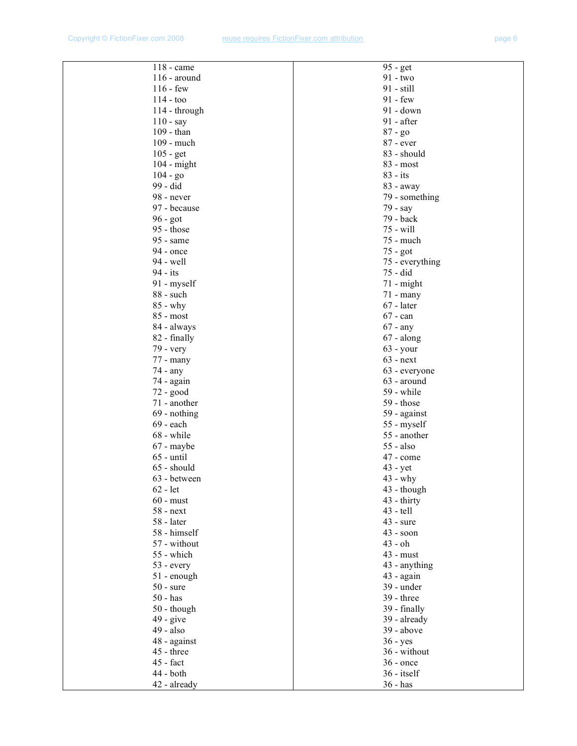| 118 - came                               |
|------------------------------------------|
| $116$ - around                           |
| $116 - few$                              |
| $114 - \text{too}$                       |
| 114 - through                            |
| $110 - say$                              |
| 109 - than                               |
| 109 - much                               |
| $105 - get$                              |
| 104 - might                              |
| $104 - go$                               |
| 99 - did                                 |
| 98 - never                               |
| 97 - because                             |
| 96 - got                                 |
| $95 - those$                             |
| 95 - same                                |
| 94 - once                                |
| 94 - well                                |
| 94 - its                                 |
| 91 - myself                              |
| 88 - such                                |
| 85 - why<br>85 - most                    |
| 84 - always                              |
| 82 - finally                             |
| 79 - very                                |
| 77 - many                                |
| 74 - any                                 |
| 74 - again                               |
| 72 - good                                |
| 71 - another                             |
| 69 - nothing                             |
| 69 - each                                |
| 68 - while                               |
| 67 - maybe                               |
| $65 - \text{until}$                      |
| 65 - should                              |
| 63 - between                             |
| $62 - let$                               |
| $60 - must$                              |
| $58 - next$                              |
| 58 - later                               |
| 58 - himself                             |
| 57 - without<br>55 - which<br>53 - every |
|                                          |
|                                          |
| $51 - enough$<br>$50 - \text{sure}$      |
| $50 - has$                               |
|                                          |
| 50 - though<br>$49 - give$               |
| 49 - also                                |
| 48 - against                             |
| 45 - three                               |
| $45$ - fact                              |
| 44 - both                                |
| 42 - already                             |
|                                          |

| 95 - get<br>91 - two        |  |
|-----------------------------|--|
|                             |  |
| 91 - still                  |  |
| $91 - few$                  |  |
| 91 - down                   |  |
| 91 - after                  |  |
| 87 - go                     |  |
| 87 - ever                   |  |
| 83 - should                 |  |
| 83 - most                   |  |
| $83 - its$                  |  |
| 83 - away                   |  |
| 79 - something              |  |
| 79 - say                    |  |
| 79 - back                   |  |
| 75 - will                   |  |
| 75 - much                   |  |
| 75 - got                    |  |
| 75 - everything<br>75 - did |  |
| 71 - might                  |  |
| 71 - many                   |  |
| 67 - later                  |  |
|                             |  |
| $67 - can$                  |  |
| $67 - any$<br>67 - along    |  |
| $63 - your$                 |  |
| $63 - next$                 |  |
| 63 - everyone               |  |
| 63 - around                 |  |
| 59 - while                  |  |
| 59 - those                  |  |
| 59 - against                |  |
| 55 - myself                 |  |
| 55 - another                |  |
| $55 - also$                 |  |
| 47 - come                   |  |
| $43 - yet$                  |  |
| $43 - why$                  |  |
| 43 - though                 |  |
| 43 - thirty                 |  |
| $43 - \text{tell}$          |  |
| $43 - sure$                 |  |
| $43 - soon$<br>43 - oh      |  |
| 43 - must                   |  |
| 43 - anything               |  |
| 43 - again                  |  |
| 39 - under                  |  |
| $39 - three$                |  |
| 39 - finally                |  |
| 39 - already                |  |
| $39 - above$                |  |
| $36 - yes$                  |  |
| 36 - without                |  |
| $36 -$ once                 |  |
| 36 - itself                 |  |
| 36 - has                    |  |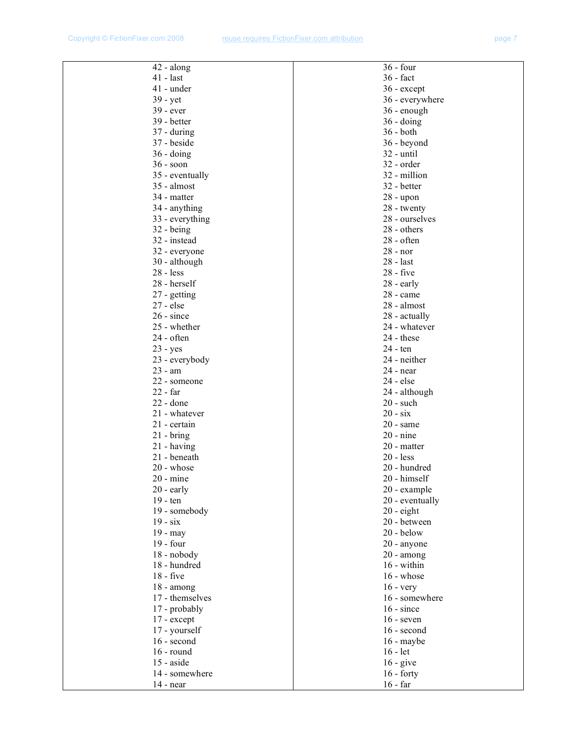| $42 - along$              | $36 - four$         |
|---------------------------|---------------------|
| $41 - last$               | 36 - fact           |
| $41$ - under              | 36 - except         |
| 39 - yet                  | 36 - everywhere     |
| $39 - ever$               | 36 - enough         |
| 39 - better               | $36 - \text{doing}$ |
| $37 - \text{during}$      | $36 - both$         |
| 37 - beside               | 36 - beyond         |
| $36 - doing$              | $32$ - until        |
| $36 - soon$               | 32 - order          |
| 35 - eventually           | 32 - million        |
| 35 - almost               | 32 - better         |
| 34 - matter               | $28 -$ upon         |
| 34 - anything             | 28 - twenty         |
| 33 - everything           | 28 - ourselves      |
| $32 - being$              | 28 - others         |
| 32 - instead              | $28 - often$        |
| 32 - everyone             | 28 - nor            |
| 30 - although             | $28 - last$         |
| $28 - less$               | 28 - five           |
| 28 - herself              | $28$ - early        |
| 27 - getting              | $28$ - came         |
| $27 - else$               | 28 - almost         |
| $26 - since$              | 28 - actually       |
| 25 - whether              | 24 - whatever       |
| 24 - often                | $24 -$ these        |
|                           | 24 - ten            |
| 23 - yes                  | 24 - neither        |
| 23 - everybody<br>23 - am | $24$ - near         |
|                           |                     |
| 22 - someone<br>22 - far  | 24 - else           |
|                           | 24 - although       |
| 22 - done                 | $20$ - such         |
| 21 - whatever             | $20 - six$          |
| 21 - certain              | $20$ - same         |
| $21 - bring$              | $20 - nine$         |
| 21 - having               | 20 - matter         |
| 21 - beneath              | $20 - less$         |
| $20$ - whose              | 20 - hundred        |
| $20$ - mine               | 20 - himself        |
| $20$ - early              | 20 - example        |
| 19 - ten                  | 20 - eventually     |
| 19 - somebody             | $20 -$ eight        |
| $19 - six$                | 20 - between        |
| $19 -$ may                | $20 -$ below        |
| $19 - four$               | 20 - anyone         |
| 18 - nobody               | $20 - among$        |
| 18 - hundred              | 16 - within         |
| $18 - five$               | $16$ - whose        |
| $18 - among$              | $16 - very$         |
| 17 - themselves           | 16 - somewhere      |
| 17 - probably             | $16 - since$        |
| 17 - except               | $16$ - seven        |
| 17 - yourself             | $16$ - second       |
| 16 - second               | $16$ - maybe        |
| $16$ - round              | $16 - let$          |
| $15 - aside$              | $16 - give$         |
| 14 - somewhere            | $16 -$ forty        |
| $14$ - near               | $16$ - far          |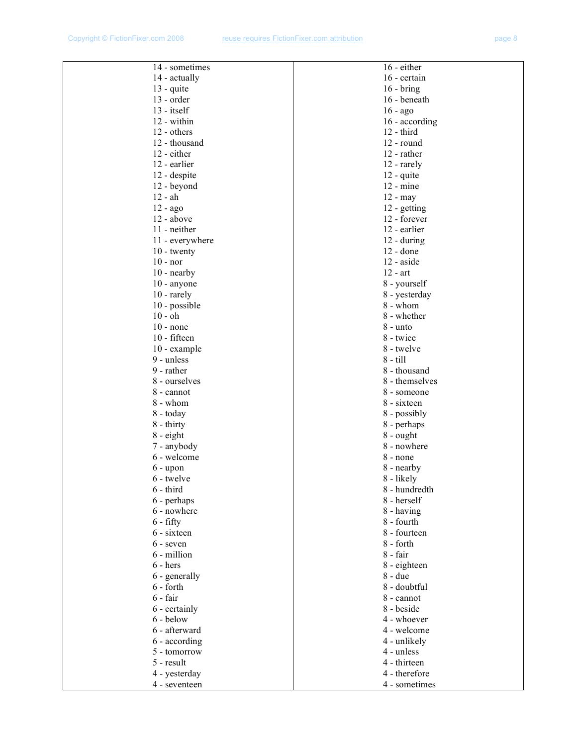| 14 - sometimes              | 16 - either        |
|-----------------------------|--------------------|
| 14 - actually               | 16 - certain       |
| $13 - quite$                | $16 - bring$       |
| $13$ - order                | 16 - beneath       |
| $13 - itself$               | $16 - ago$         |
| 12 - within                 | 16 - according     |
| 12 - others                 | $12 - third$       |
| 12 - thousand               | 12 - round         |
| 12 - either                 | 12 - rather        |
| 12 - earlier                | 12 - rarely        |
| 12 - despite                | 12 - quite         |
| 12 - beyond                 | $12 - mine$        |
| $12 - ah$                   | $12 -$ may         |
| 12 - ago                    | 12 - getting       |
| $12 - above$                | 12 - forever       |
| 11 - neither                | 12 - earlier       |
| 11 - everywhere             | $12 - during$      |
|                             | $12 -$ done        |
| $10 -$ twenty<br>$10 - nor$ | $12 - aside$       |
| $10$ - nearby               | $12 - art$         |
|                             |                    |
| $10$ - anyone               | 8 - yourself       |
| $10$ - rarely               | 8 - yesterday      |
| 10 - possible               | 8 - whom           |
| $10 - oh$                   | 8 - whether        |
| $10$ - none                 | 8 - unto           |
| 10 - fifteen                | 8 - twice          |
| $10$ - example              | 8 - twelve         |
| 9 - unless                  | $8 - \text{till}$  |
| 9 - rather                  | 8 - thousand       |
| 8 - ourselves               | 8 - themselves     |
| 8 - cannot                  | 8 - someone        |
| 8 - whom                    | 8 - sixteen        |
| 8 - today                   | 8 - possibly       |
| $8 -$ thirty                | 8 - perhaps        |
| 8 - eight                   | $8 - \text{ought}$ |
| 7 - anybody                 | 8 - nowhere        |
| 6 - welcome                 | 8 - none           |
| $6 - upon$                  | 8 - nearby         |
| 6 - twelve                  | 8 - likely         |
| $6 - third$                 | 8 - hundredth      |
| 6 - perhaps                 | 8 - herself        |
| 6 - nowhere                 | 8 - having         |
| $6 - fifty$                 | 8 - fourth         |
| 6 - sixteen                 | 8 - fourteen       |
| 6 - seven                   | 8 - forth          |
| 6 - million                 | 8 - fair           |
| $6 - \text{hers}$           | 8 - eighteen       |
| 6 - generally               | 8 - due            |
| $6$ - forth                 | 8 - doubtful       |
| $6 - fair$                  | 8 - cannot         |
| 6 - certainly               | 8 - beside         |
| 6 - below                   | 4 - whoever        |
| 6 - afterward               | 4 - welcome        |
| 6 - according               | 4 - unlikely       |
| 5 - tomorrow                | 4 - unless         |
| 5 - result                  | 4 - thirteen       |
| 4 - yesterday               | 4 - therefore      |
| 4 - seventeen               | 4 - sometimes      |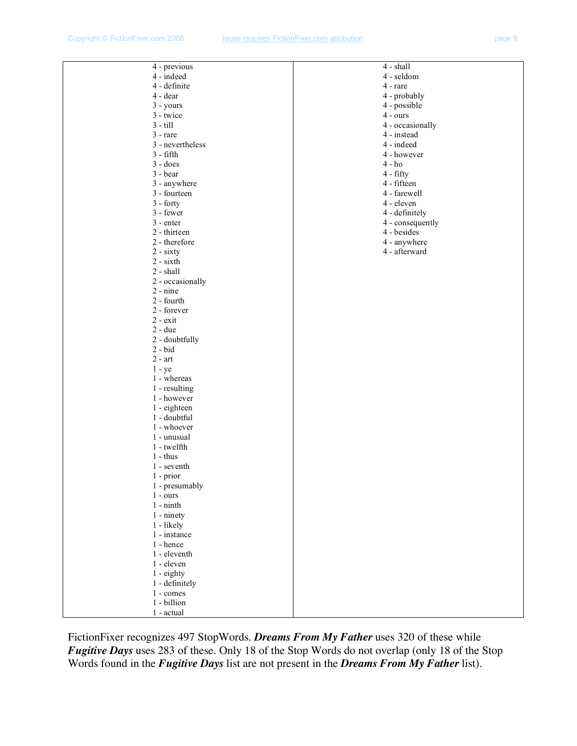| 4 - previous                 | 4 - shall        |
|------------------------------|------------------|
| 4 - indeed                   | 4 - seldom       |
| 4 - definite                 | 4 - rare         |
| 4 - dear                     | 4 - probably     |
| $3 - yours$                  | 4 - possible     |
| 3 - twice                    | $4 - ours$       |
| $3 - \text{till}$            | 4 - occasionally |
| $3 - rare$                   | 4 - instead      |
| 3 - nevertheless             | 4 - indeed       |
| $3 - fifth$                  | 4 - however      |
| $3 - does$                   | $4 - ho$         |
| $3 - bear$                   | 4 - fifty        |
| 3 - anywhere                 | 4 - fifteen      |
| 3 - fourteen                 | 4 - farewell     |
| $3 - forty$                  | 4 - eleven       |
| 3 - fewer                    | 4 - definitely   |
| $3$ - enter                  | 4 - consequently |
| 2 - thirteen                 | 4 - besides      |
| 2 - therefore                | 4 - anywhere     |
| $2 - sixty$                  | 4 - afterward    |
| $2 - sixth$                  |                  |
| 2 - shall                    |                  |
| 2 - occasionally             |                  |
| $2 - nine$                   |                  |
| 2 - fourth                   |                  |
| 2 - forever                  |                  |
| $2 - exit$                   |                  |
| $2 - due$                    |                  |
| 2 - doubtfully               |                  |
| $2 - bid$                    |                  |
| $2$ - $\operatorname{art}$   |                  |
| $1 - ye$                     |                  |
| 1 - whereas<br>1 - resulting |                  |
| 1 - however                  |                  |
| 1 - eighteen                 |                  |
| 1 - doubtful                 |                  |
| 1 - whoever                  |                  |
| 1 - unusual                  |                  |
| 1 - twelfth                  |                  |
| $1 - thus$                   |                  |
| 1 - seventh                  |                  |
| $1$ - prior                  |                  |
| 1 - presumably               |                  |
| $1 - ours$                   |                  |
| $1 - ninth$                  |                  |
| $1$ - ninety                 |                  |
| 1 - likely                   |                  |
| 1 - instance                 |                  |
| 1 - hence                    |                  |
| 1 - eleventh                 |                  |
| 1 - eleven                   |                  |
| 1 - eighty                   |                  |
| 1 - definitely               |                  |
| 1 - comes                    |                  |
| 1 - billion                  |                  |
| 1 - actual                   |                  |

FictionFixer recognizes 497 StopWords. *Dreams From My Father* uses 320 of these while *Fugitive Days* uses 283 of these. Only 18 of the Stop Words do not overlap (only 18 of the Stop Words found in the *Fugitive Days* list are not present in the *Dreams From My Father* list).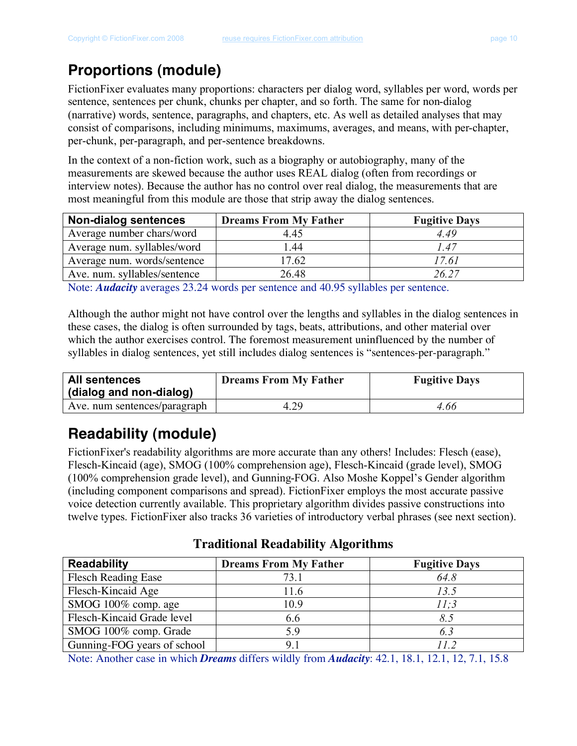# **Proportions (module)**

FictionFixer evaluates many proportions: characters per dialog word, syllables per word, words per sentence, sentences per chunk, chunks per chapter, and so forth. The same for non-dialog (narrative) words, sentence, paragraphs, and chapters, etc. As well as detailed analyses that may consist of comparisons, including minimums, maximums, averages, and means, with per-chapter, per-chunk, per-paragraph, and per-sentence breakdowns.

In the context of a non-fiction work, such as a biography or autobiography, many of the measurements are skewed because the author uses REAL dialog (often from recordings or interview notes). Because the author has no control over real dialog, the measurements that are most meaningful from this module are those that strip away the dialog sentences.

| <b>Non-dialog sentences</b>  | <b>Dreams From My Father</b> | <b>Fugitive Days</b> |
|------------------------------|------------------------------|----------------------|
| Average number chars/word    | 4 4 5                        | 4.49                 |
| Average num. syllables/word  | 1.44                         | 1.47                 |
| Average num. words/sentence  | 17.62                        | 17.61                |
| Ave. num. syllables/sentence | 26.48                        | 26.27                |

Note: *Audacity* averages 23.24 words per sentence and 40.95 syllables per sentence.

Although the author might not have control over the lengths and syllables in the dialog sentences in these cases, the dialog is often surrounded by tags, beats, attributions, and other material over which the author exercises control. The foremost measurement uninfluenced by the number of syllables in dialog sentences, yet still includes dialog sentences is "sentences-per-paragraph."

| <b>All sentences</b><br>(dialog and non-dialog) | <b>Dreams From My Father</b> | <b>Fugitive Days</b> |
|-------------------------------------------------|------------------------------|----------------------|
| Ave. num sentences/paragraph                    | 4 29                         | 4.66                 |

# **Readability (module)**

FictionFixer's readability algorithms are more accurate than any others! Includes: Flesch (ease), Flesch-Kincaid (age), SMOG (100% comprehension age), Flesch-Kincaid (grade level), SMOG (100% comprehension grade level), and Gunning-FOG. Also Moshe Koppel's Gender algorithm (including component comparisons and spread). FictionFixer employs the most accurate passive voice detection currently available. This proprietary algorithm divides passive constructions into twelve types. FictionFixer also tracks 36 varieties of introductory verbal phrases (see next section).

**Traditional Readability Algorithms**

| <b>Readability</b>          | <b>Dreams From My Father</b> | <b>Fugitive Days</b> |
|-----------------------------|------------------------------|----------------------|
| <b>Flesch Reading Ease</b>  | 73.1                         | 64.8                 |
| Flesch-Kincaid Age          | 11.6                         | 13.5                 |
| SMOG 100% comp. age         | 10.9                         | 11:3                 |
| Flesch-Kincaid Grade level  | 6.6                          | 8.5                  |
| SMOG 100% comp. Grade       | 5.9                          | 6.3                  |
| Gunning-FOG years of school | Q <sub>1</sub>               | 119                  |

Note: Another case in which *Dreams* differs wildly from *Audacity*: 42.1, 18.1, 12.1, 12, 7.1, 15.8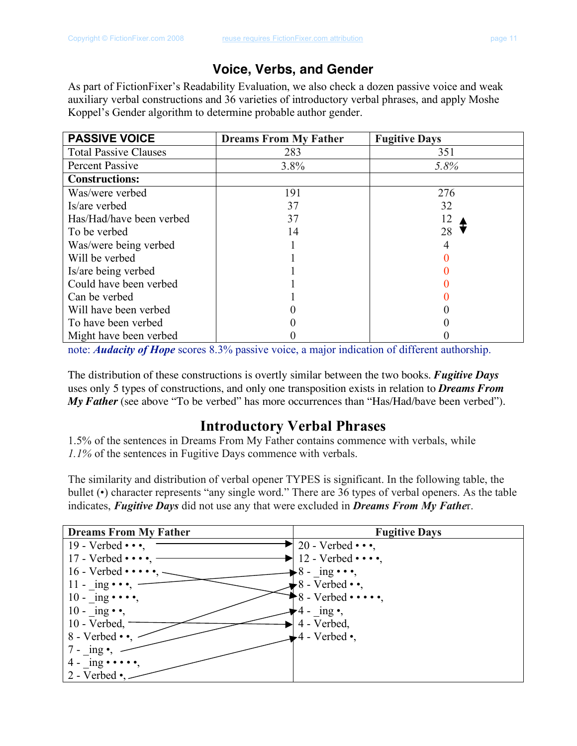### **Voice, Verbs, and Gender**

As part of FictionFixer's Readability Evaluation, we also check a dozen passive voice and weak auxiliary verbal constructions and 36 varieties of introductory verbal phrases, and apply Moshe Koppel's Gender algorithm to determine probable author gender.

| <b>PASSIVE VOICE</b>         | <b>Dreams From My Father</b> | <b>Fugitive Days</b> |
|------------------------------|------------------------------|----------------------|
| <b>Total Passive Clauses</b> | 283                          | 351                  |
| Percent Passive              | 3.8%                         | 5.8%                 |
| <b>Constructions:</b>        |                              |                      |
| Was/were verbed              | 191                          | 276                  |
| Is/are verbed                | 37                           | 32                   |
| Has/Had/have been verbed     | 37                           | 12                   |
| To be verbed                 | 14                           | 28                   |
| Was/were being verbed        |                              |                      |
| Will be verbed               |                              |                      |
| Is/are being verbed          |                              |                      |
| Could have been verbed       |                              |                      |
| Can be verbed                |                              |                      |
| Will have been verbed        |                              |                      |
| To have been verbed          |                              |                      |
| Might have been verbed       |                              |                      |

note: *Audacity of Hope* scores 8.3% passive voice, a major indication of different authorship.

The distribution of these constructions is overtly similar between the two books. *Fugitive Days* uses only 5 types of constructions, and only one transposition exists in relation to *Dreams From My Father* (see above "To be verbed" has more occurrences than "Has/Had/bave been verbed").

### **Introductory Verbal Phrases**

1.5% of the sentences in Dreams From My Father contains commence with verbals, while *1.1%* of the sentences in Fugitive Days commence with verbals.

The similarity and distribution of verbal opener TYPES is significant. In the following table, the bullet (•) character represents "any single word." There are 36 types of verbal openers. As the table indicates, *Fugitive Days* did not use any that were excluded in *Dreams From My Fathe*r.

| <b>Dreams From My Father</b>    | <b>Fugitive Days</b>        |
|---------------------------------|-----------------------------|
| 19 - Verbed $\cdots$ ,          | 20 - Verbed $\cdots$ ,      |
| 17 - Verbed $\cdots$ ,          | 12 - Verbed $\cdots$ ,      |
| $16$ - Verbed $\cdots$          | $8 - ing \cdot \cdot \cdot$ |
| 11 - ing $\cdot \cdot \cdot$ ,  | 8 - Verbed $\cdot \cdot$ ,  |
| $10 - ing \cdots,$              | 8 - Verbed $\cdots$         |
| $10 - \text{ing} \cdot \cdot$ , | 4 - $\text{ing} \cdot$ ,    |
| 10 - Verbed,                    | 4 - Verbed,                 |
| 8 - Verbed $\cdot \cdot$        | $4 - Verbed$ •,             |
| 7 - $\ln g \bullet$ ,           |                             |
| $4 - ing \cdots$                |                             |
| 2 - Verbed $\bullet$ ,          |                             |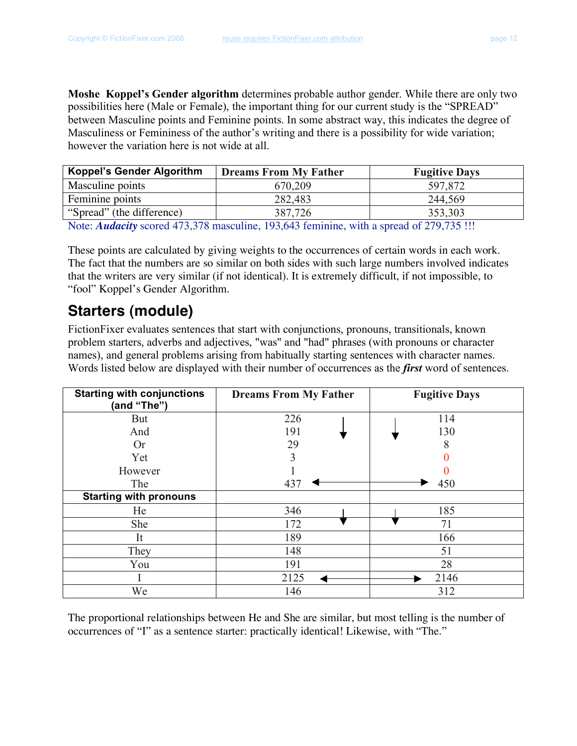**Moshe Koppel's Gender algorithm** determines probable author gender. While there are only two possibilities here (Male or Female), the important thing for our current study is the "SPREAD" between Masculine points and Feminine points. In some abstract way, this indicates the degree of Masculiness or Femininess of the author's writing and there is a possibility for wide variation; however the variation here is not wide at all.

| <b>Koppel's Gender Algorithm</b> | <b>Dreams From My Father</b> | <b>Fugitive Days</b> |
|----------------------------------|------------------------------|----------------------|
| Masculine points                 | 670,209                      | 597,872              |
| Feminine points                  | 282,483                      | 244,569              |
| "Spread" (the difference)        | 387.726                      | 353,303              |

Note: *Audacity* scored 473,378 masculine, 193,643 feminine, with a spread of 279,735 !!!

These points are calculated by giving weights to the occurrences of certain words in each work. The fact that the numbers are so similar on both sides with such large numbers involved indicates that the writers are very similar (if not identical). It is extremely difficult, if not impossible, to "fool" Koppel's Gender Algorithm.

### **Starters (module)**

FictionFixer evaluates sentences that start with conjunctions, pronouns, transitionals, known problem starters, adverbs and adjectives, "was" and "had" phrases (with pronouns or character names), and general problems arising from habitually starting sentences with character names. Words listed below are displayed with their number of occurrences as the *first* word of sentences.

| <b>Starting with conjunctions</b><br>(and "The") | <b>Dreams From My Father</b> | <b>Fugitive Days</b> |
|--------------------------------------------------|------------------------------|----------------------|
| <b>But</b>                                       | 226                          | 114                  |
| And                                              | 191                          | 130                  |
| <b>Or</b>                                        | 29                           | 8                    |
| Yet                                              | 3                            |                      |
| However                                          |                              |                      |
| The                                              | 437                          | 450                  |
| <b>Starting with pronouns</b>                    |                              |                      |
| He                                               | 346                          | 185                  |
| She                                              | 172                          | 71                   |
| It                                               | 189                          | 166                  |
| They                                             | 148                          | 51                   |
| You                                              | 191                          | 28                   |
|                                                  | 2125                         | 2146                 |
| We                                               | 146                          | 312                  |

The proportional relationships between He and She are similar, but most telling is the number of occurrences of "I" as a sentence starter: practically identical! Likewise, with "The."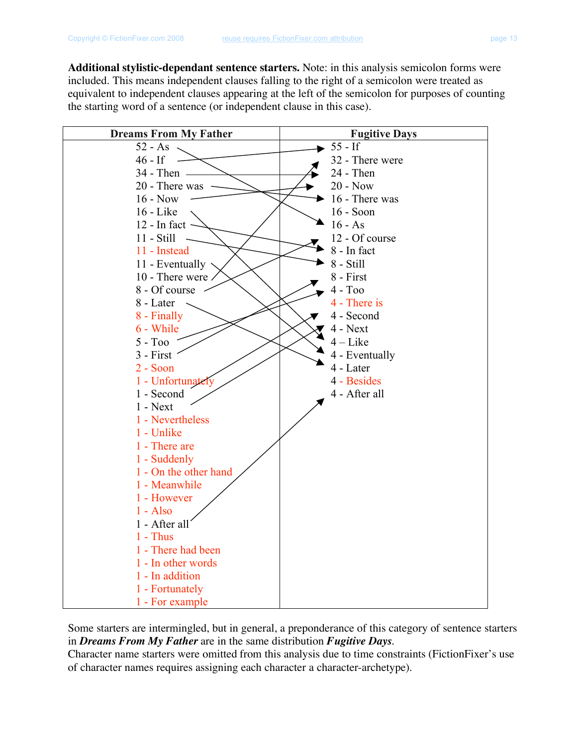**Additional stylistic-dependant sentence starters.** Note: in this analysis semicolon forms were included. This means independent clauses falling to the right of a semicolon were treated as equivalent to independent clauses appearing at the left of the semicolon for purposes of counting the starting word of a sentence (or independent clause in this case).

| <b>Dreams From My Father</b> | <b>Fugitive Days</b> |
|------------------------------|----------------------|
| $52 - As$                    | $55 - If$            |
| $46 - If$                    | 32 - There were      |
| 34 - Then -                  | 24 - Then            |
| 20 - There was               | $20 - Now$           |
| $16 - Now$                   | 16 - There was       |
| 16 - Like                    | 16 - Soon            |
| $12$ - In fact               | $16 - As$            |
| 11 - Still                   | 12 - Of course       |
| 11 - Instead                 | 8 - In fact          |
| 11 - Eventually              | $8 - Still$          |
| 10 - There were              | 8 - First            |
| 8 - Of course                | $4 - T00$            |
| 8 - Later                    | 4 - There is         |
| 8 - Finally                  | 4 - Second           |
| 6 - While                    | $4 - Next$           |
| $5 - T00$                    | $4 -$ Like           |
| $3 - First$                  | 4 - Eventually       |
| $2 - Soon$                   | 4 - Later            |
| 1 - Unfortunately            | 4 - Besides          |
| 1 - Second                   | 4 - After all        |
| $1 - Next$                   |                      |
| 1 - Nevertheless             |                      |
| 1 - Unlike                   |                      |
| 1 - There are                |                      |
| 1 - Suddenly                 |                      |
| 1 - On the other hand        |                      |
| 1 - Meanwhile                |                      |
| 1 - However                  |                      |
| $1 - Also$                   |                      |
| 1 - After all                |                      |
| $1$ - Thus                   |                      |
| 1 - There had been           |                      |
| 1 - In other words           |                      |
| 1 - In addition              |                      |
| 1 - Fortunately              |                      |
| 1 - For example              |                      |

Some starters are intermingled, but in general, a preponderance of this category of sentence starters in *Dreams From My Father* are in the same distribution *Fugitive Days*.

Character name starters were omitted from this analysis due to time constraints (FictionFixer's use of character names requires assigning each character a character-archetype).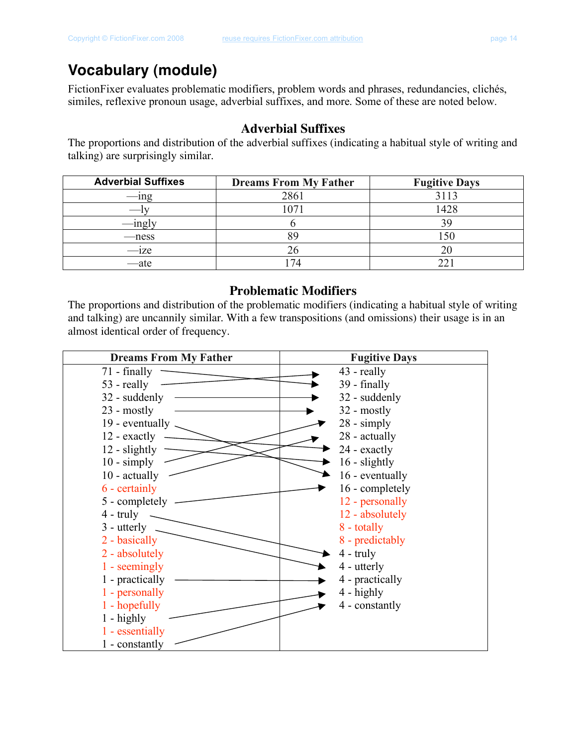### **Vocabulary (module)**

FictionFixer evaluates problematic modifiers, problem words and phrases, redundancies, clichés, similes, reflexive pronoun usage, adverbial suffixes, and more. Some of these are noted below.

### **Adverbial Suffixes**

The proportions and distribution of the adverbial suffixes (indicating a habitual style of writing and talking) are surprisingly similar.

| <b>Adverbial Suffixes</b> | <b>Dreams From My Father</b> | <b>Fugitive Days</b> |
|---------------------------|------------------------------|----------------------|
| $-\text{ing}$             | 2861                         | 3113                 |
|                           | 1071                         | 1428                 |
|                           |                              | 39                   |
| —ness                     |                              | 150                  |
| $-z$                      |                              | 20                   |
| $-ate$                    | 74                           | າາ                   |

### **Problematic Modifiers**

The proportions and distribution of the problematic modifiers (indicating a habitual style of writing and talking) are uncannily similar. With a few transpositions (and omissions) their usage is in an almost identical order of frequency.

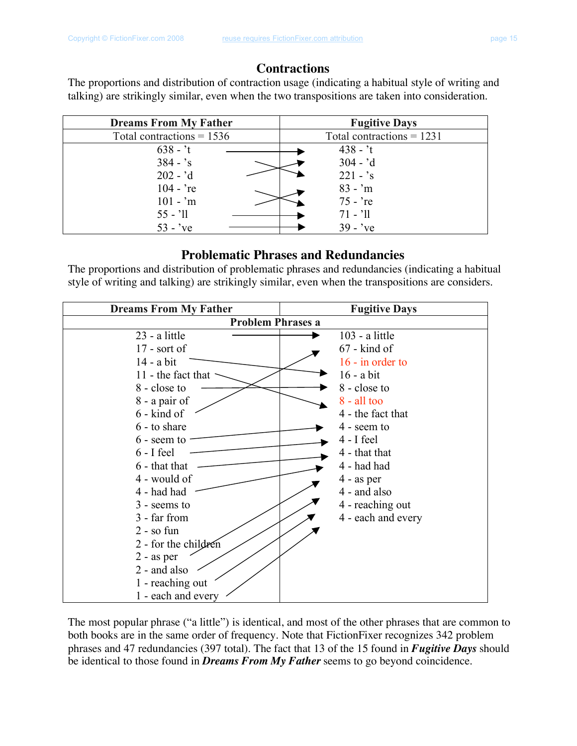#### **Contractions**

The proportions and distribution of contraction usage (indicating a habitual style of writing and talking) are strikingly similar, even when the two transpositions are taken into consideration.

| <b>Dreams From My Father</b> | <b>Fugitive Days</b>        |
|------------------------------|-----------------------------|
| Total contractions $= 1536$  | Total contractions = $1231$ |
| $638 - t$                    | $438 - t$                   |
| $384 - s$                    | $304 - d$                   |
| $202 - d$                    | $221 - 's$                  |
| $104 - r$ e                  | $83 - m$                    |
| $101 - m$                    | $75 - \text{re}$            |
| $55 - 11$                    | $71 - 11$                   |
| $53 - \text{ve}$             | $39 - v$                    |

#### **Problematic Phrases and Redundancies**

The proportions and distribution of problematic phrases and redundancies (indicating a habitual style of writing and talking) are strikingly similar, even when the transpositions are considers.

| <b>Dreams From My Father</b> | <b>Fugitive Days</b> |  |
|------------------------------|----------------------|--|
| <b>Problem Phrases a</b>     |                      |  |
| 23 - a little                | $103 - a$ little     |  |
| $17$ - sort of               | $67$ - kind of       |  |
| $14 - a bit$                 | $16$ - in order to   |  |
| 11 - the fact that           | $16$ - a bit         |  |
| 8 - close to                 | 8 - close to         |  |
| 8 - a pair of                | $8 - all too$        |  |
| 6 - kind of                  | 4 - the fact that    |  |
| 6 - to share                 | 4 - seem to          |  |
| 6 - seem to                  | $4 - I$ feel         |  |
| $6 - I$ feel                 | 4 - that that        |  |
| 6 - that that                | 4 - had had          |  |
| 4 - would of                 | $4 - as per$         |  |
| 4 - had had                  | 4 - and also         |  |
| 3 - seems to                 | 4 - reaching out     |  |
| 3 - far from                 | 4 - each and every   |  |
| $2 -$ so fun                 |                      |  |
| 2 - for the children         |                      |  |
| $2 - as per$                 |                      |  |
| 2 - and also                 |                      |  |
| 1 - reaching out             |                      |  |
| 1 - each and every           |                      |  |

The most popular phrase ("a little") is identical, and most of the other phrases that are common to both books are in the same order of frequency. Note that FictionFixer recognizes 342 problem phrases and 47 redundancies (397 total). The fact that 13 of the 15 found in *Fugitive Days* should be identical to those found in *Dreams From My Father* seems to go beyond coincidence.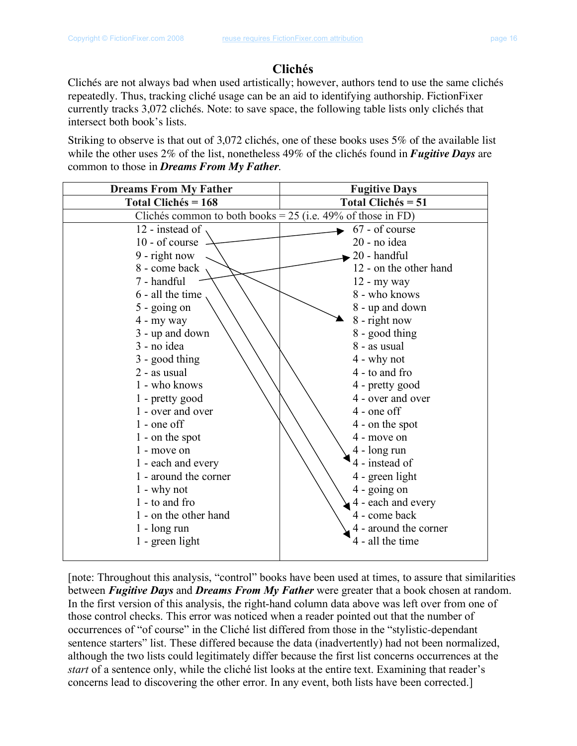### **Clichés**

Clichés are not always bad when used artistically; however, authors tend to use the same clichés repeatedly. Thus, tracking cliché usage can be an aid to identifying authorship. FictionFixer currently tracks 3,072 clichés. Note: to save space, the following table lists only clichés that intersect both book's lists.

Striking to observe is that out of 3,072 clichés, one of these books uses 5% of the available list while the other uses 2% of the list, nonetheless 49% of the clichés found in *Fugitive Days* are common to those in *Dreams From My Father*.

| <b>Dreams From My Father</b>                                  | <b>Fugitive Days</b>      |
|---------------------------------------------------------------|---------------------------|
| <b>Total Clichés = 168</b>                                    | <b>Total Clichés = 51</b> |
| Clichés common to both books = $25$ (i.e. 49% of those in FD) |                           |
| 12 - instead of                                               | 67 - of course            |
| 10 - of course                                                | 20 - no idea              |
| 9 - right now                                                 | 20 - handful              |
| 8 - come back                                                 | 12 - on the other hand    |
| 7 - handful                                                   | $12 - my way$             |
| 6 - all the time                                              | 8 - who knows             |
| $5 -$ going on                                                | 8 - up and down           |
| 4 - my way                                                    | 8 - right now             |
| 3 - up and down                                               | 8 - good thing            |
| 3 - no idea                                                   | 8 - as usual              |
| 3 - good thing                                                | 4 - why not               |
| 2 - as usual                                                  | 4 - to and fro            |
| 1 - who knows                                                 | 4 - pretty good           |
| 1 - pretty good                                               | 4 - over and over         |
| 1 - over and over                                             | $4$ - one off             |
| $1$ - one off                                                 | 4 - on the spot           |
| 1 - on the spot                                               | 4 - move on               |
| 1 - move on                                                   | 4 - long run              |
| 1 - each and every                                            | 4 - instead of            |
| 1 - around the corner                                         | 4 - green light           |
| 1 - why not                                                   | 4 - going on              |
| 1 - to and fro                                                | 4 - each and every        |
| 1 - on the other hand                                         | 4 - come back             |
| $1 - \log \text{run}$                                         | 4 - around the corner     |
| 1 - green light                                               | 4 - all the time          |
|                                                               |                           |

[note: Throughout this analysis, "control" books have been used at times, to assure that similarities between *Fugitive Days* and *Dreams From My Father* were greater that a book chosen at random. In the first version of this analysis, the right-hand column data above was left over from one of those control checks. This error was noticed when a reader pointed out that the number of occurrences of "of course" in the Cliché list differed from those in the "stylistic-dependant sentence starters" list. These differed because the data (inadvertently) had not been normalized, although the two lists could legitimately differ because the first list concerns occurrences at the *start* of a sentence only, while the cliché list looks at the entire text. Examining that reader's concerns lead to discovering the other error. In any event, both lists have been corrected.]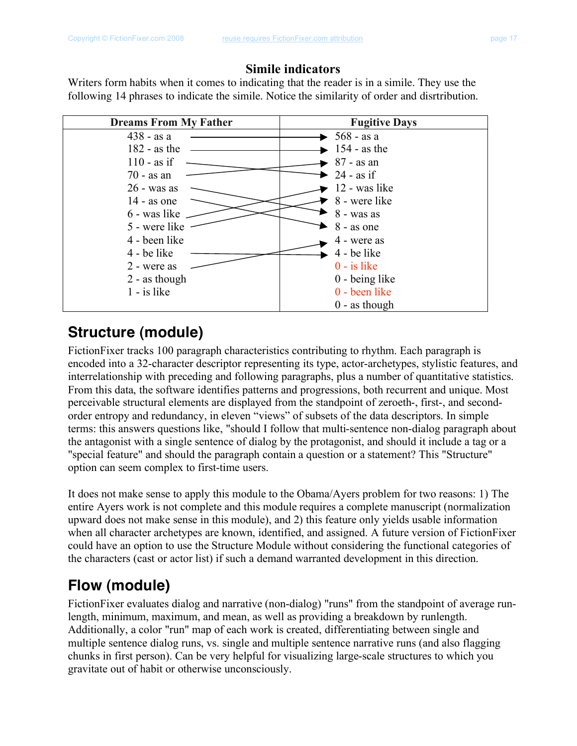### **Simile indicators**

Writers form habits when it comes to indicating that the reader is in a simile. They use the following 14 phrases to indicate the simile. Notice the similarity of order and disrtribution.

| <b>Dreams From My Father</b> | <b>Fugitive Days</b>             |
|------------------------------|----------------------------------|
| $438 - asa$                  | $\blacktriangleright$ 568 - as a |
| $182 - as the$               | $154 - as the$                   |
| $110 - as$ if                | $87 - as an$                     |
| $70 - as an$                 | $24 - as$ if                     |
| $26 - was$ as                | 12 - was like                    |
| $14 - as$ one                | 8 - were like                    |
| 6 - was like                 | 8 - was as                       |
| 5 - were like                | 8 - as one                       |
| 4 - been like                | 4 - were as                      |
| 4 - be like                  | 4 - be like                      |
| 2 - were as                  | $0 - i s$ like                   |
| $2$ - as though              | 0 - being like                   |
| $1 - i s$ like               | 0 - been like                    |
|                              | $0$ - as though                  |

## **Structure (module)**

FictionFixer tracks 100 paragraph characteristics contributing to rhythm. Each paragraph is encoded into a 32-character descriptor representing its type, actor-archetypes, stylistic features, and interrelationship with preceding and following paragraphs, plus a number of quantitative statistics. From this data, the software identifies patterns and progressions, both recurrent and unique. Most perceivable structural elements are displayed from the standpoint of zeroeth-, first-, and secondorder entropy and redundancy, in eleven "views" of subsets of the data descriptors. In simple terms: this answers questions like, "should I follow that multi-sentence non-dialog paragraph about the antagonist with a single sentence of dialog by the protagonist, and should it include a tag or a "special feature" and should the paragraph contain a question or a statement? This "Structure" option can seem complex to first-time users.

It does not make sense to apply this module to the Obama/Ayers problem for two reasons: 1) The entire Ayers work is not complete and this module requires a complete manuscript (normalization upward does not make sense in this module), and 2) this feature only yields usable information when all character archetypes are known, identified, and assigned. A future version of FictionFixer could have an option to use the Structure Module without considering the functional categories of the characters (cast or actor list) if such a demand warranted development in this direction.

## **Flow (module)**

FictionFixer evaluates dialog and narrative (non-dialog) "runs" from the standpoint of average runlength, minimum, maximum, and mean, as well as providing a breakdown by runlength. Additionally, a color "run" map of each work is created, differentiating between single and multiple sentence dialog runs, vs. single and multiple sentence narrative runs (and also flagging chunks in first person). Can be very helpful for visualizing large-scale structures to which you gravitate out of habit or otherwise unconsciously.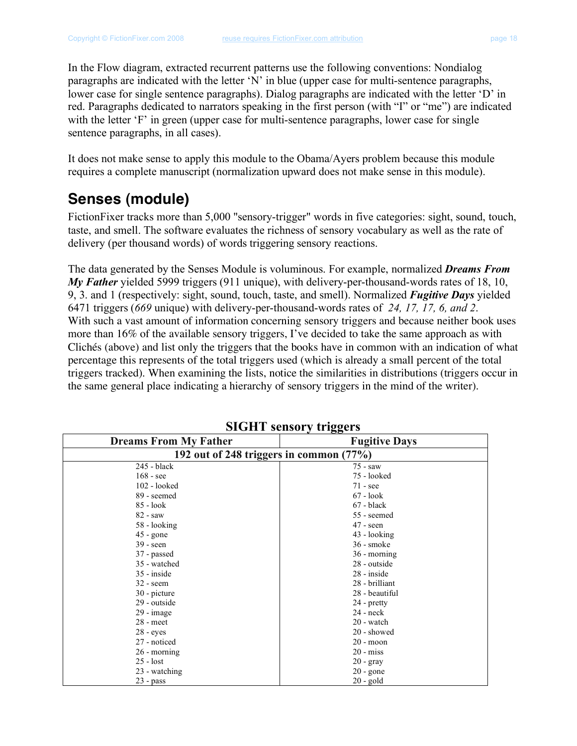In the Flow diagram, extracted recurrent patterns use the following conventions: Nondialog paragraphs are indicated with the letter 'N' in blue (upper case for multi-sentence paragraphs, lower case for single sentence paragraphs). Dialog paragraphs are indicated with the letter 'D' in red. Paragraphs dedicated to narrators speaking in the first person (with "I" or "me") are indicated with the letter 'F' in green (upper case for multi-sentence paragraphs, lower case for single sentence paragraphs, in all cases).

It does not make sense to apply this module to the Obama/Ayers problem because this module requires a complete manuscript (normalization upward does not make sense in this module).

### **Senses (module)**

FictionFixer tracks more than 5,000 "sensory-trigger" words in five categories: sight, sound, touch, taste, and smell. The software evaluates the richness of sensory vocabulary as well as the rate of delivery (per thousand words) of words triggering sensory reactions.

The data generated by the Senses Module is voluminous. For example, normalized *Dreams From My Father* yielded 5999 triggers (911 unique), with delivery-per-thousand-words rates of 18, 10, 9, 3. and 1 (respectively: sight, sound, touch, taste, and smell). Normalized *Fugitive Days* yielded 6471 triggers (*669* unique) with delivery-per-thousand-words rates of *24, 17, 17, 6, and 2*. With such a vast amount of information concerning sensory triggers and because neither book uses more than 16% of the available sensory triggers, I've decided to take the same approach as with Clichés (above) and list only the triggers that the books have in common with an indication of what percentage this represents of the total triggers used (which is already a small percent of the total triggers tracked). When examining the lists, notice the similarities in distributions (triggers occur in the same general place indicating a hierarchy of sensory triggers in the mind of the writer).

| <b>Dreams From My Father</b>            | <b>Fugitive Days</b> |  |
|-----------------------------------------|----------------------|--|
| 192 out of 248 triggers in common (77%) |                      |  |
| 245 - black                             | 75 - saw             |  |
| $168 - \text{see}$                      | 75 - looked          |  |
| 102 - looked                            | $71 - \text{see}$    |  |
| 89 - seemed                             | $67 - look$          |  |
| 85 - look                               | $67$ - black         |  |
| $82 - saw$                              | 55 - seemed          |  |
| 58 - looking                            | $47 - seen$          |  |
| $45$ - gone                             | 43 - looking         |  |
| $39 - seen$                             | $36$ - smoke         |  |
| 37 - passed                             | 36 - morning         |  |
| 35 - watched                            | 28 - outside         |  |
| 35 - inside                             | 28 - inside          |  |
| $32 -$ seem                             | 28 - brilliant       |  |
| 30 - picture                            | 28 - beautiful       |  |
| 29 - outside                            | 24 - pretty          |  |
| $29 - image$                            | 24 - neck            |  |
| $28$ - meet                             | 20 - watch           |  |
| $28 - eyes$                             | 20 - showed          |  |
| 27 - noticed                            | $20 - moon$          |  |
| 26 - morning                            | $20 - miss$          |  |
| $25 -$ lost                             | $20 - gray$          |  |
| 23 - watching                           | $20$ - gone          |  |
| $23 - pass$                             | 20 - gold            |  |

**SIGHT sensory triggers**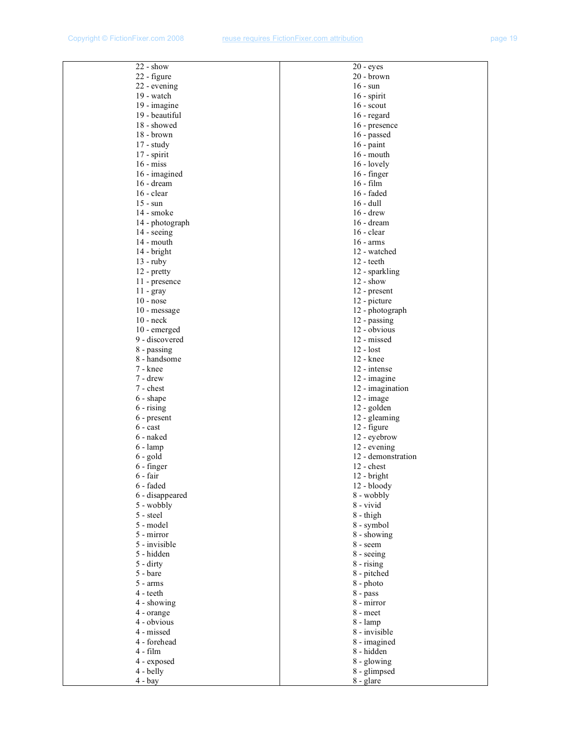| $22 - show$         | $20 - eyes$         |
|---------------------|---------------------|
| 22 - figure         | 20 - brown          |
| 22 - evening        | $16 - \text{sun}$   |
| 19 - watch          | $16$ - spirit       |
| 19 - imagine        | $16$ - scout        |
| 19 - beautiful      | $16$ - regard       |
| 18 - showed         | 16 - presence       |
| 18 - brown          | 16 - passed         |
| $17 - study$        | $16$ - paint        |
| 17 - spirit         | $16$ - mouth        |
| $16 - miss$         | $16$ - lovely       |
| 16 - imagined       | $16 - finger$       |
| $16 - \text{dream}$ | $16 - film$         |
| $16 - clear$        | 16 - faded          |
| $15 - \text{sun}$   | $16 - \text{dull}$  |
| 14 - smoke          | $16 -$ drew         |
| 14 - photograph     | $16 - d$ ream       |
| 14 - seeing         | $16 - clear$        |
| 14 - mouth          | $16 - arms$         |
| 14 - bright         | 12 - watched        |
| $13 - \text{ruby}$  | $12 - \text{teeth}$ |
| $12$ - pretty       | 12 - sparkling      |
| 11 - presence       | $12 - show$         |
| 11 - gray           | 12 - present        |
| $10 - nose$         | 12 - picture        |
| 10 - message        | 12 - photograph     |
| $10 - neck$         | 12 - passing        |
| 10 - emerged        | 12 - obvious        |
| 9 - discovered      | 12 - missed         |
| 8 - passing         | $12 -$ lost         |
| 8 - handsome        | 12 - knee           |
| 7 - knee            | 12 - intense        |
| 7 - drew            | 12 - imagine        |
| 7 - chest           | 12 - imagination    |
| 6 - shape           | 12 - image          |
| $6 -$ rising        | 12 - golden         |
| 6 - present         | 12 - gleaming       |
| $6 - \text{cast}$   | 12 - figure         |
| 6 - naked           | 12 - eyebrow        |
| $6 - \text{lamp}$   | 12 - evening        |
| $6 - gold$          | 12 - demonstration  |
| 6 - finger          | $12 -$ chest        |
| 6 - fair            | $12 - bright$       |
| 6 - faded           | 12 - bloody         |
| 6 - disappeared     | 8 - wobbly          |
| 5 - wobbly          | 8 - vivid           |
| 5 - steel           | 8 - thigh           |
| 5 - model           | 8 - symbol          |
| 5 - mirror          | 8 - showing         |
| 5 - invisible       | 8 - seem            |
| 5 - hidden          | 8 - seeing          |
| $5 -$ dirty         | $8 -$ rising        |
| 5 - bare            | 8 - pitched         |
| $5 - arms$          | 8 - photo           |
| 4 - teeth           | 8 - pass            |
| 4 - showing         | 8 - mirror          |
| 4 - orange          | 8 - meet            |
| 4 - obvious         | 8 - lamp            |
| 4 - missed          | 8 - invisible       |
| 4 - forehead        | 8 - imagined        |
| $4 - film$          | 8 - hidden          |
| 4 - exposed         | 8 - glowing         |
| 4 - belly           | 8 - glimpsed        |
| $4 - bay$           | 8 - glare           |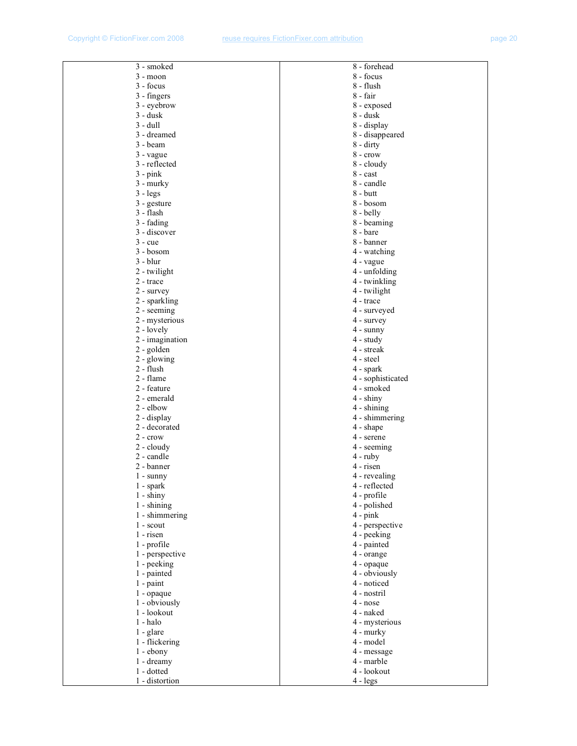| 3 - smoked      | 8 - forehead       |  |
|-----------------|--------------------|--|
| $3 - moon$      | 8 - focus          |  |
| 3 - focus       | 8 - flush          |  |
| 3 - fingers     | 8 - fair           |  |
| 3 - eyebrow     | 8 - exposed        |  |
| 3 - dusk        | 8 - dusk           |  |
|                 |                    |  |
| 3 - dull        | 8 - display        |  |
| 3 - dreamed     | 8 - disappeared    |  |
| 3 - beam        | $8 -$ dirty        |  |
| $3 - v$ vague   | $8 - \text{crow}$  |  |
| 3 - reflected   | 8 - cloudy         |  |
| $3$ - $pink$    | 8 - cast           |  |
| 3 - murky       | 8 - candle         |  |
| $3 - legs$      | $8 - \text{but}$   |  |
| 3 - gesture     | 8 - bosom          |  |
| 3 - flash       | 8 - belly          |  |
| 3 - fading      | 8 - beaming        |  |
|                 | 8 - bare           |  |
| 3 - discover    |                    |  |
| $3 - cue$       | 8 - banner         |  |
| 3 - bosom       | 4 - watching       |  |
| 3 - blur        | 4 - vague          |  |
| 2 - twilight    | 4 - unfolding      |  |
| 2 - trace       | 4 - twinkling      |  |
| $2 -$ survey    | 4 - twilight       |  |
| 2 - sparkling   | 4 - trace          |  |
| 2 - seeming     | 4 - surveyed       |  |
| 2 - mysterious  | 4 - survey         |  |
| 2 - lovely      | $4 - \text{sumny}$ |  |
| 2 - imagination | $4 - study$        |  |
|                 | 4 - streak         |  |
| 2 - golden      |                    |  |
| 2 - glowing     | 4 - steel          |  |
| 2 - flush       | 4 - spark          |  |
| 2 - flame       | 4 - sophisticated  |  |
| 2 - feature     | 4 - smoked         |  |
| 2 - emerald     | $4 -$ shiny        |  |
| $2 -$ elbow     | 4 - shining        |  |
| 2 - display     | 4 - shimmering     |  |
| 2 - decorated   | 4 - shape          |  |
| $2 - crow$      | 4 - serene         |  |
| $2 -$ cloudy    | 4 - seeming        |  |
| 2 - candle      | $4 - \text{ruby}$  |  |
| 2 - banner      | 4 - risen          |  |
|                 |                    |  |
| $1 -$ sunny     | 4 - revealing      |  |
| $1$ - spark     | 4 - reflected      |  |
| $1 -$ shiny     | 4 - profile        |  |
| $1 -$ shining   | 4 - polished       |  |
| 1 - shimmering  | $4$ - pink         |  |
| $1 -$ scout     | 4 - perspective    |  |
| $1$ - risen     | 4 - peeking        |  |
| 1 - profile     | 4 - painted        |  |
| 1 - perspective | 4 - orange         |  |
| 1 - peeking     | 4 - opaque         |  |
| 1 - painted     | 4 - obviously      |  |
| 1 - paint       | 4 - noticed        |  |
| 1 - opaque      | 4 - nostril        |  |
| 1 - obviously   | $4 - n$ ose        |  |
|                 |                    |  |
| 1 - lookout     | 4 - naked          |  |
| 1 - halo        | 4 - mysterious     |  |
| $1 - glare$     | 4 - murky          |  |
| 1 - flickering  | 4 - model          |  |
| $1 - ebony$     | 4 - message        |  |
| 1 - dreamy      | 4 - marble         |  |
| 1 - dotted      | 4 - lookout        |  |
| 1 - distortion  | $4 - legs$         |  |
|                 |                    |  |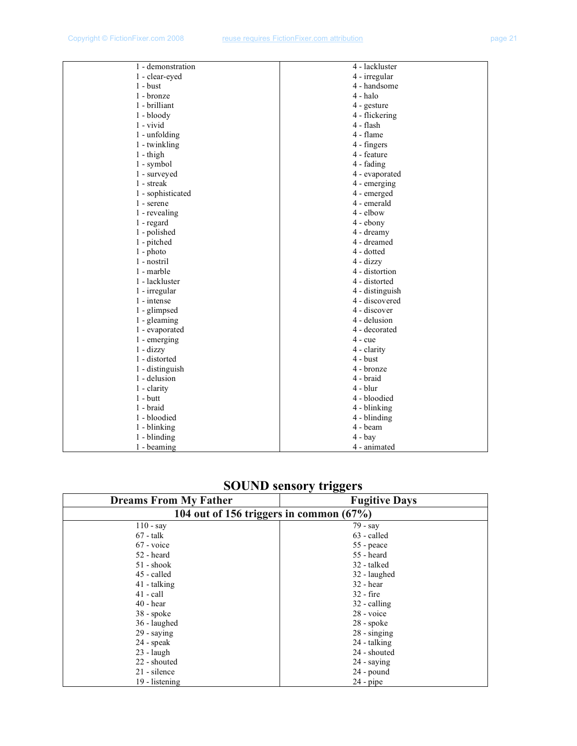| 1 - demonstration     | 4 - lackluster     |
|-----------------------|--------------------|
| 1 - clear-eyed        | 4 - irregular      |
| $1 - \text{burst}$    | 4 - handsome       |
| 1 - bronze            | 4 - halo           |
| 1 - brilliant         | 4 - gesture        |
| $1 - bloody$          | 4 - flickering     |
| $1 -$ vivid           | $4$ - flash        |
| 1 - unfolding         | 4 - flame          |
| 1 - twinkling         | 4 - fingers        |
| $1 - \text{thigh}$    | 4 - feature        |
| 1 - symbol            | 4 - fading         |
| 1 - surveyed          | 4 - evaporated     |
| 1 - streak            | 4 - emerging       |
| 1 - sophisticated     | 4 - emerged        |
| 1 - serene            | 4 - emerald        |
| 1 - revealing         | 4 - elbow          |
| 1 - regard            | $4 - ebony$        |
| 1 - polished          | 4 - dreamy         |
| 1 - pitched           | 4 - dreamed        |
| $1$ - photo           | 4 - dotted         |
| 1 - nostril           | $4 - \text{dizzy}$ |
| 1 - marble            | 4 - distortion     |
| 1 - lackluster        | 4 - distorted      |
| 1 - irregular         | 4 - distinguish    |
| 1 - intense           | 4 - discovered     |
| 1 - glimpsed          | 4 - discover       |
| 1 - gleaming          | 4 - delusion       |
| 1 - evaporated        | 4 - decorated      |
| 1 - emerging          | $4 - cue$          |
| $1 - \text{dizzy}$    | 4 - clarity        |
| 1 - distorted         | 4 - bust           |
| 1 - distinguish       | 4 - bronze         |
| 1 - delusion          | 4 - braid          |
| $1 -$ clarity         | $4 - blur$         |
| $1 - \text{but}$      | 4 - bloodied       |
| 1 - braid             | 4 - blinking       |
| 1 - bloodied          | 4 - blinding       |
| 1 - blinking          | 4 - beam           |
| $1 - \text{blinding}$ | $4 - bay$          |
| 1 - beaming           | 4 - animated       |

## **SOUND sensory triggers**

| <b>Dreams From My Father</b>            | <b>Fugitive Days</b> |  |
|-----------------------------------------|----------------------|--|
| 104 out of 156 triggers in common (67%) |                      |  |
| $110 - say$                             | 79 - say             |  |
| $67$ - talk                             | 63 - called          |  |
| $67$ - voice                            | 55 - peace           |  |
| 52 - heard                              | 55 - heard           |  |
| $51 -$ shook                            | 32 - talked          |  |
| 45 - called                             | 32 - laughed         |  |
| 41 - talking                            | $32 - hear$          |  |
| $41$ - call                             | $32 - fire$          |  |
| $40$ - hear                             | 32 - calling         |  |
| $38$ - spoke                            | 28 - voice           |  |
| 36 - laughed                            | $28$ - spoke         |  |
| $29 -$ saying                           | $28 -$ singing       |  |
| $24$ - speak                            | 24 - talking         |  |
| $23$ - laugh                            | 24 - shouted         |  |
| 22 - shouted                            | $24 -$ saying        |  |
| 21 - silence                            | 24 - pound           |  |
| 19 - listening                          | $24$ - pipe          |  |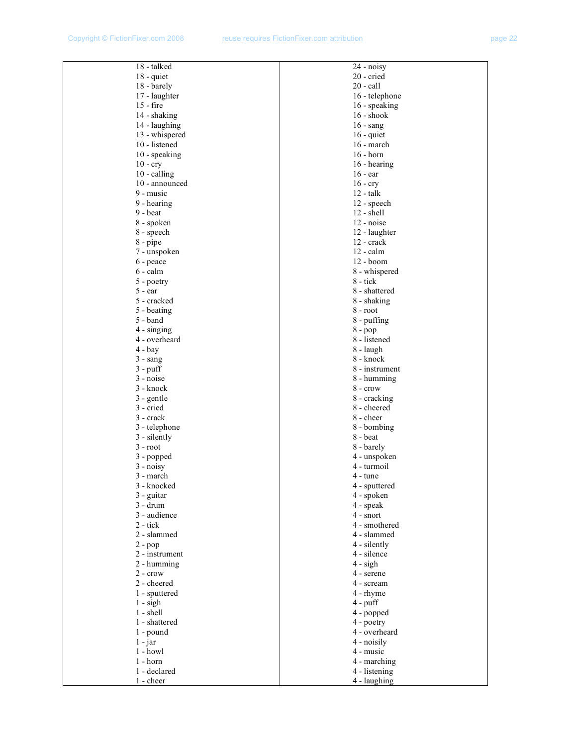| 18 - talked                                                 |  |
|-------------------------------------------------------------|--|
| 18 - quiet                                                  |  |
| 18 - barely                                                 |  |
| 17 - laughter<br>$15 - fire$                                |  |
| 14 - shaking                                                |  |
| 14 - laughing                                               |  |
| 13 - whispered                                              |  |
| 10 - listened                                               |  |
| 10 - speaking                                               |  |
| $10 - cry$                                                  |  |
| 10 - calling                                                |  |
| 10 - announced<br>9 - music                                 |  |
| 9 - hearing                                                 |  |
| $9 -$ beat                                                  |  |
| 8 - spoken                                                  |  |
| 8 - speech                                                  |  |
| 8 - pipe                                                    |  |
| 7 - unspoken                                                |  |
| 6 - peace<br>6 - calm                                       |  |
|                                                             |  |
|                                                             |  |
|                                                             |  |
| $5 - poetry$<br>$5 - ear$<br>$5 - cracked$<br>$5 - beating$ |  |
| $5 - band$                                                  |  |
| 4 - singing                                                 |  |
| 4 - overheard                                               |  |
| $4 - bay$<br>$3 - \text{sang}$                              |  |
| $3 - \text{puff}$                                           |  |
| $3 - noise$                                                 |  |
| 3 - knock                                                   |  |
| $3 - \text{gentle}$                                         |  |
| $3$ - $cried$                                               |  |
| 3 - crack                                                   |  |
| 3 - telephone<br>3 - silently                               |  |
| $3 - root$                                                  |  |
|                                                             |  |
| $3$ - popped<br>$3$ - noisy                                 |  |
| 3 - march                                                   |  |
| 3 - knocked                                                 |  |
| 3 - guitar<br>3 - drum                                      |  |
|                                                             |  |
| 3 - audience<br>$2 - tick$                                  |  |
| 2 - slammed                                                 |  |
| $2$ - $pop$                                                 |  |
| 2 - instrument                                              |  |
| 2 - humming                                                 |  |
| $2 - \text{crow}$                                           |  |
| 2 - cheered                                                 |  |
| 1 - sputtered                                               |  |
| $1 -$ sigh<br>$1 - shell$                                   |  |
| 1 - shattered                                               |  |
| 1 - pound                                                   |  |
| 1 - jar                                                     |  |
| 1 - howl                                                    |  |
| 1 - horn                                                    |  |
| 1 - declared                                                |  |
| 1 - cheer                                                   |  |

| 20 - cried                    |  |
|-------------------------------|--|
|                               |  |
| $20$ - $call$                 |  |
| 16 - telephone                |  |
| 16 - speaking                 |  |
| 16 - shook                    |  |
| $16 -$ sang                   |  |
| $16 -$ quiet                  |  |
| 16 - march                    |  |
| $16 - horn$                   |  |
| 16 - hearing                  |  |
| $16 - ear$                    |  |
|                               |  |
| $16 - cry$                    |  |
| $12 - \text{talk}$            |  |
| 12 - speech                   |  |
| 12 - shell                    |  |
| 12 - noise                    |  |
| 12 - laughter                 |  |
| 12 - crack                    |  |
| $12 - \text{calm}$            |  |
| 12 - boom                     |  |
| 8 - whispered                 |  |
| 8 - tick                      |  |
| 8 - shattered                 |  |
| 8 - shaking                   |  |
| $8 - root$                    |  |
| 8 - puffing                   |  |
| 8 - pop                       |  |
| 8 - listened                  |  |
| 8 - laugh                     |  |
| 8 - knock                     |  |
| 8 - instrument                |  |
| 8 - humming                   |  |
| $8 - \text{crow}$             |  |
| 8 - cracking                  |  |
| 8 - cheered                   |  |
| 8 - cheer                     |  |
|                               |  |
| 8 - bombing                   |  |
| 8 - beat                      |  |
| 8 - barely                    |  |
| 4 - unspoken                  |  |
| 4 - turmoil                   |  |
| $4 - \text{tune}$             |  |
| 4 - sputtered                 |  |
|                               |  |
| 4 - spoken                    |  |
| 4 - speak                     |  |
| $4 -$ snort                   |  |
| 4 - smothered                 |  |
| 4 - slammed                   |  |
| 4 - silently                  |  |
| 4 - silence                   |  |
| $4 - sign$                    |  |
| 4 - serene                    |  |
| 4 - scream                    |  |
| 4 - rhyme                     |  |
| 4 - puff                      |  |
|                               |  |
| 4 - popped<br>4 - poetry      |  |
|                               |  |
| 4 - overheard<br>4 - noisily  |  |
| 4 - music                     |  |
|                               |  |
| 4 - marching<br>4 - listening |  |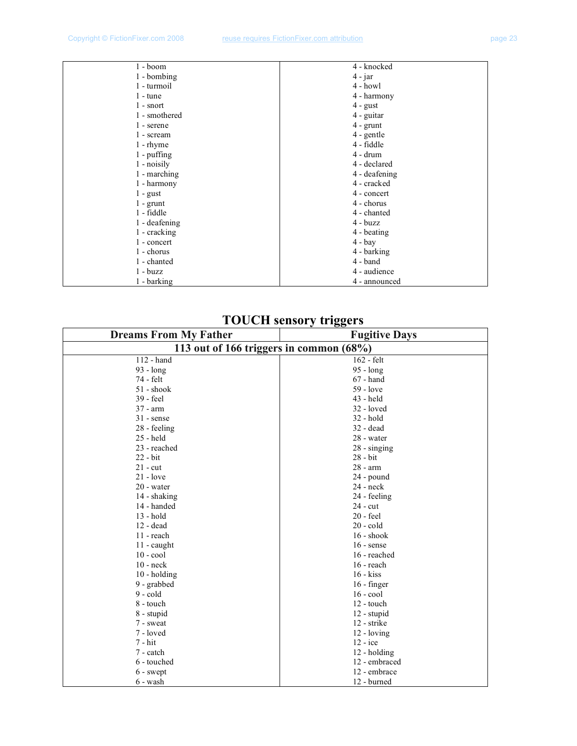| 1 - boom           | 4 - knocked        |
|--------------------|--------------------|
| 1 - bombing        | $4$ - jar          |
| 1 - turmoil        | $4 - howl$         |
| $1 - \text{tune}$  | 4 - harmony        |
| $1$ - snort        | $4 - \text{gust}$  |
| 1 - smothered      | 4 - guitar         |
| 1 - serene         | $4 - \text{grunt}$ |
| 1 - scream         | 4 - gentle         |
| $1 - \text{rhyme}$ | 4 - fiddle         |
| $1$ - puffing      | $4 - drum$         |
| $1$ - noisily      | 4 - declared       |
| 1 - marching       | 4 - deafening      |
| 1 - harmony        | 4 - cracked        |
| $1 - \text{gust}$  | 4 - concert        |
| $1 - \text{grunt}$ | 4 - chorus         |
| 1 - fiddle         | 4 - chanted        |
| 1 - deafening      | $4 - buzz$         |
| 1 - cracking       | 4 - beating        |
| 1 - concert        | $4 - bay$          |
| 1 - chorus         | 4 - barking        |
| 1 - chanted        | 4 - band           |
| $1 - buzz$         | 4 - audience       |
| 1 - barking        | 4 - announced      |

## **TOUCH sensory triggers**

| <b>Dreams From My Father</b>            | <b>Fugitive Days</b> |  |
|-----------------------------------------|----------------------|--|
| 113 out of 166 triggers in common (68%) |                      |  |
| 112 - hand                              | 162 - felt           |  |
| 93 - long                               | 95 - long            |  |
| 74 - felt                               | $67$ - hand          |  |
| $51 -$ shook                            | 59 - love            |  |
| 39 - feel                               | 43 - held            |  |
| $37 - arm$                              | 32 - loved           |  |
| $31$ - sense                            | $32 - hold$          |  |
| 28 - feeling                            | $32 - dead$          |  |
| 25 - held                               | 28 - water           |  |
| 23 - reached                            | $28 -$ singing       |  |
| $22 - bit$                              | 28 - bit             |  |
| $21$ - cut                              | 28 - arm             |  |
| $21 - love$                             | 24 - pound           |  |
| 20 - water                              | $24 - neck$          |  |
| 14 - shaking                            | 24 - feeling         |  |
| 14 - handed                             | $24 - cut$           |  |
| 13 - hold                               | $20$ - feel          |  |
| $12 - dead$                             | $20 - \text{cold}$   |  |
| $11$ - reach                            | $16 -$ shook         |  |
| 11 - caught                             | $16$ - sense         |  |
| $10 - \text{cool}$                      | 16 - reached         |  |
| $10 - neck$                             | $16$ - reach         |  |
| $10 - holding$                          | $16 - k$ iss         |  |
| 9 - grabbed                             | $16 - finger$        |  |
| $9 - cold$                              | $16 - cool$          |  |
| 8 - touch                               | 12 - touch           |  |
| 8 - stupid                              | 12 - stupid          |  |
| 7 - sweat                               | 12 - strike          |  |
| 7 - loved                               | 12 - loving          |  |
| $7 - hit$                               | $12 - ice$           |  |
| 7 - catch                               | 12 - holding         |  |
| 6 - touched                             | 12 - embraced        |  |
| 6 - swept                               | 12 - embrace         |  |
| 6 - wash                                | 12 - burned          |  |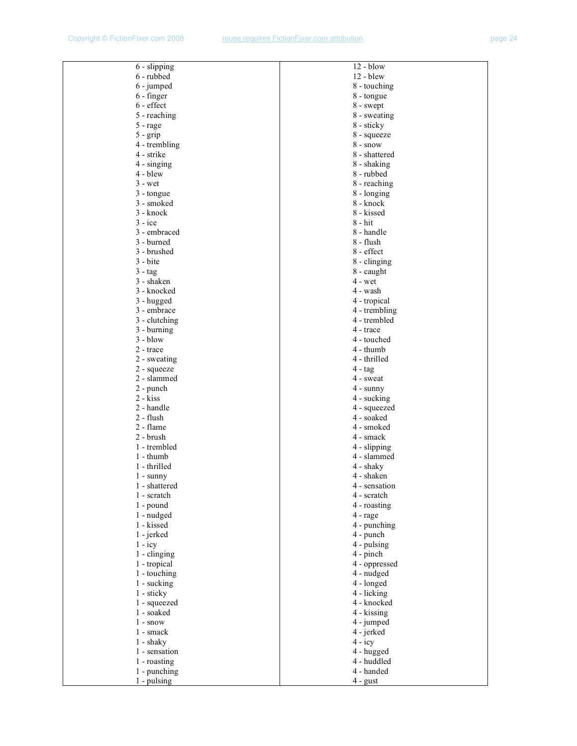| 6 - slipping          | $12 - blow$        |
|-----------------------|--------------------|
| 6 - rubbed            | $12 - blew$        |
| 6 - jumped            | 8 - touching       |
| 6 - finger            | 8 - tongue         |
| 6 - effect            | 8 - swept          |
| 5 - reaching          | 8 - sweating       |
|                       |                    |
| 5 - rage              | 8 - sticky         |
| $5 -$ grip            | 8 - squeeze        |
| 4 - trembling         | $8 - snow$         |
| 4 - strike            | 8 - shattered      |
| $4 -$ singing         | 8 - shaking        |
| 4 - blew              | 8 - rubbed         |
| $3 - wet$             | 8 - reaching       |
| 3 - tongue            | 8 - longing        |
| 3 - smoked            | 8 - knock          |
| 3 - knock             | 8 - kissed         |
| $3 - ice$             | $8 - hit$          |
| 3 - embraced          | 8 - handle         |
| 3 - burned            | 8 - flush          |
| 3 - brushed           | 8 - effect         |
| $3 - b$ ite           | 8 - clinging       |
|                       |                    |
| $3 - tag$             | 8 - caught         |
| 3 - shaken            | 4 - wet            |
| 3 - knocked           | 4 - wash           |
| 3 - hugged            | 4 - tropical       |
| 3 - embrace           | 4 - trembling      |
| 3 - clutching         | 4 - trembled       |
| $3 - burning$         | 4 - trace          |
| $3 - blow$            | 4 - touched        |
| 2 - trace             | 4 - thumb          |
| 2 - sweating          | 4 - thrilled       |
| 2 - squeeze           | $4 - tag$          |
| 2 - slammed           | 4 - sweat          |
| $2$ - punch           | $4 - \text{sumny}$ |
| $2 - kiss$            | 4 - sucking        |
| 2 - handle            | 4 - squeezed       |
| 2 - flush             | 4 - soaked         |
| 2 - flame             | 4 - smoked         |
| 2 - brush             | 4 - smack          |
| 1 - trembled          | 4 - slipping       |
| $1 - thumb$           | 4 - slammed        |
| 1 - thrilled          | 4 - shaky          |
|                       | 4 - shaken         |
| $1 - \text{sumny}$    |                    |
| 1 - shattered         | 4 - sensation      |
| 1 - scratch           | 4 - scratch        |
| $1$ - pound           | 4 - roasting       |
| 1 - nudged            | 4 - rage           |
| 1 - kissed            | 4 - punching       |
| 1 - jerked            | 4 - punch          |
| $1 - icy$             | 4 - pulsing        |
| $1 - \text{clinging}$ | $4$ - pinch        |
| 1 - tropical          | 4 - oppressed      |
| 1 - touching          | 4 - nudged         |
| 1 - sucking           | 4 - longed         |
| 1 - sticky            | 4 - licking        |
| 1 - squeezed          | 4 - knocked        |
| 1 - soaked            | 4 - kissing        |
| $1 - snow$            |                    |
|                       | 4 - jumped         |
| 1 - smack             | 4 - jerked         |
| $1 -$ shaky           | $4 - icy$          |
| 1 - sensation         | 4 - hugged         |
| 1 - roasting          | 4 - huddled        |
| 1 - punching          | 4 - handed         |
| $1$ - pulsing         | $4 -$ gust         |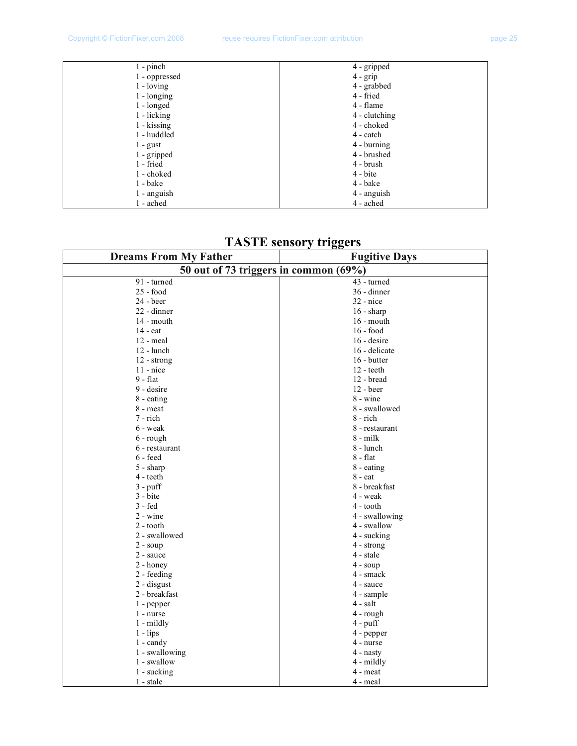| $1$ - pinch       | 4 - gripped   |
|-------------------|---------------|
| 1 - oppressed     | $4 - grip$    |
| $1 -$ loving      | 4 - grabbed   |
| $1 - longing$     | 4 - fried     |
| $1 -$ longed      | 4 - flame     |
| 1 - licking       | 4 - clutching |
| $1 -$ kissing     | 4 - choked    |
| 1 - huddled       | 4 - catch     |
| $1 - \text{gust}$ | 4 - burning   |
| 1 - gripped       | 4 - brushed   |
| $1$ - fried       | 4 - brush     |
| 1 - choked        | 4 - bite      |
| $1 - \text{bake}$ | 4 - bake      |
| 1 - anguish       | 4 - anguish   |
| 1 - ached         | 4 - ached     |

| <b>Dreams From My Father</b>          | <b>Fugitive Days</b> |
|---------------------------------------|----------------------|
| 50 out of 73 triggers in common (69%) |                      |
| 91 - turned                           | 43 - turned          |
| $25 - food$                           | 36 - dinner          |
| 24 - beer                             | $32$ - nice          |
| 22 - dinner                           | $16 - sharp$         |
| 14 - mouth                            | $16$ - mouth         |
| 14 - eat                              | $16 - food$          |
| $12$ - meal                           | $16 -$ desire        |
| 12 - lunch                            | 16 - delicate        |
| 12 - strong                           | 16 - butter          |
| $11$ - nice                           | $12 - \text{teeth}$  |
| $9 - flat$                            | 12 - bread           |
| 9 - desire                            | 12 - beer            |
| 8 - eating                            | $8 - \text{wine}$    |
| 8 - meat                              | 8 - swallowed        |
| 7 - rich                              | 8 - rich             |
| 6 - weak                              | 8 - restaurant       |
| $6$ - rough                           | 8 - milk             |
| 6 - restaurant                        | 8 - lunch            |
| $6 - feed$                            | $8 - flat$           |
| $5 - sharp$                           | 8 - eating           |
| 4 - teeth                             | 8 - eat              |
| $3 - \text{puff}$                     | 8 - breakfast        |
| $3 - b$                               | 4 - weak             |
| 3 - fed                               | 4 - tooth            |
| $2 - \text{wine}$                     | 4 - swallowing       |
| 2 - tooth                             | 4 - swallow          |
| 2 - swallowed                         | 4 - sucking          |
| $2 - \text{soup}$                     | 4 - strong           |
| 2 - sauce                             | 4 - stale            |
| $2 -$ honey                           | $4 - \text{soup}$    |
| 2 - feeding                           | 4 - smack            |
| 2 - disgust                           | 4 - sauce            |
| 2 - breakfast                         | 4 - sample           |
| 1 - pepper                            | 4 - salt             |
| 1 - nurse                             | 4 - rough            |
| $1 -$ mildly                          | $4$ - puff           |
| $1 - lips$                            | 4 - pepper           |
| $1 - \text{candy}$                    | 4 - nurse            |
| 1 - swallowing                        | 4 - nasty            |
| 1 - swallow                           | 4 - mildly           |
| 1 - sucking                           | 4 - meat             |
| 1 - stale                             | 4 - meal             |